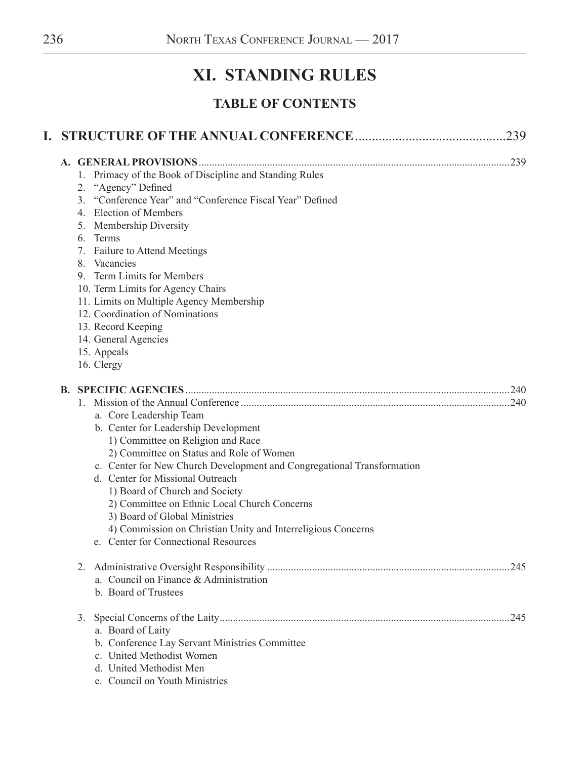# **XI. STANDING RULES**

## **TABLE OF CONTENTS**

|  |                                                                                                                                                                                                                                                                                                                                                                                                                                                                                           | 239  |
|--|-------------------------------------------------------------------------------------------------------------------------------------------------------------------------------------------------------------------------------------------------------------------------------------------------------------------------------------------------------------------------------------------------------------------------------------------------------------------------------------------|------|
|  |                                                                                                                                                                                                                                                                                                                                                                                                                                                                                           |      |
|  | 1. Primacy of the Book of Discipline and Standing Rules<br>2. "Agency" Defined<br>3. "Conference Year" and "Conference Fiscal Year" Defined<br>4. Election of Members<br>5. Membership Diversity<br>6. Terms<br>7. Failure to Attend Meetings<br>8. Vacancies<br>9. Term Limits for Members<br>10. Term Limits for Agency Chairs<br>11. Limits on Multiple Agency Membership<br>12. Coordination of Nominations<br>13. Record Keeping<br>14. General Agencies<br>15. Appeals              |      |
|  | 16. Clergy                                                                                                                                                                                                                                                                                                                                                                                                                                                                                |      |
|  | a. Core Leadership Team<br>b. Center for Leadership Development<br>1) Committee on Religion and Race<br>2) Committee on Status and Role of Women<br>c. Center for New Church Development and Congregational Transformation<br>d. Center for Missional Outreach<br>1) Board of Church and Society<br>2) Committee on Ethnic Local Church Concerns<br>3) Board of Global Ministries<br>4) Commission on Christian Unity and Interreligious Concerns<br>e. Center for Connectional Resources | .240 |
|  | a. Council on Finance & Administration<br>b. Board of Trustees                                                                                                                                                                                                                                                                                                                                                                                                                            | .245 |
|  | 3.<br>a. Board of Laity<br>b. Conference Lay Servant Ministries Committee<br>c. United Methodist Women<br>d. United Methodist Men<br>e. Council on Youth Ministries                                                                                                                                                                                                                                                                                                                       |      |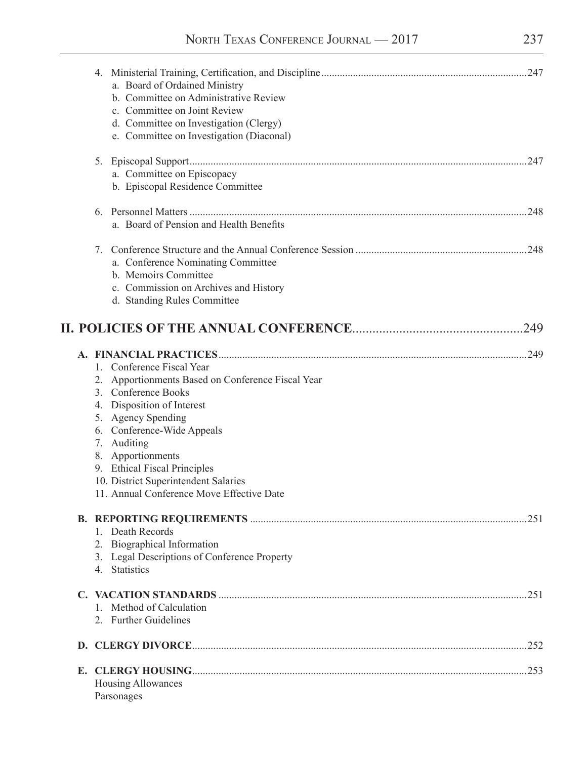| a. Board of Ordained Ministry<br>b. Committee on Administrative Review<br>c. Committee on Joint Review<br>d. Committee on Investigation (Clergy)<br>e. Committee on Investigation (Diaconal)                                                                                                                                                     |      |
|--------------------------------------------------------------------------------------------------------------------------------------------------------------------------------------------------------------------------------------------------------------------------------------------------------------------------------------------------|------|
| 5.<br>a. Committee on Episcopacy<br>b. Episcopal Residence Committee                                                                                                                                                                                                                                                                             | .247 |
| a. Board of Pension and Health Benefits                                                                                                                                                                                                                                                                                                          |      |
| 7.<br>a. Conference Nominating Committee<br>b. Memoirs Committee<br>c. Commission on Archives and History<br>d. Standing Rules Committee                                                                                                                                                                                                         | .248 |
|                                                                                                                                                                                                                                                                                                                                                  | 249  |
| 1. Conference Fiscal Year<br>2. Apportionments Based on Conference Fiscal Year<br>3. Conference Books<br>4. Disposition of Interest<br>5. Agency Spending<br>6. Conference-Wide Appeals<br>7. Auditing<br>8. Apportionments<br>9. Ethical Fiscal Principles<br>10. District Superintendent Salaries<br>11. Annual Conference Move Effective Date |      |
| 1. Death Records<br>2. Biographical Information<br>3. Legal Descriptions of Conference Property<br>4. Statistics                                                                                                                                                                                                                                 | .251 |
| 1. Method of Calculation<br>2. Further Guidelines                                                                                                                                                                                                                                                                                                | .251 |
|                                                                                                                                                                                                                                                                                                                                                  |      |
| Housing Allowances<br>Parsonages                                                                                                                                                                                                                                                                                                                 |      |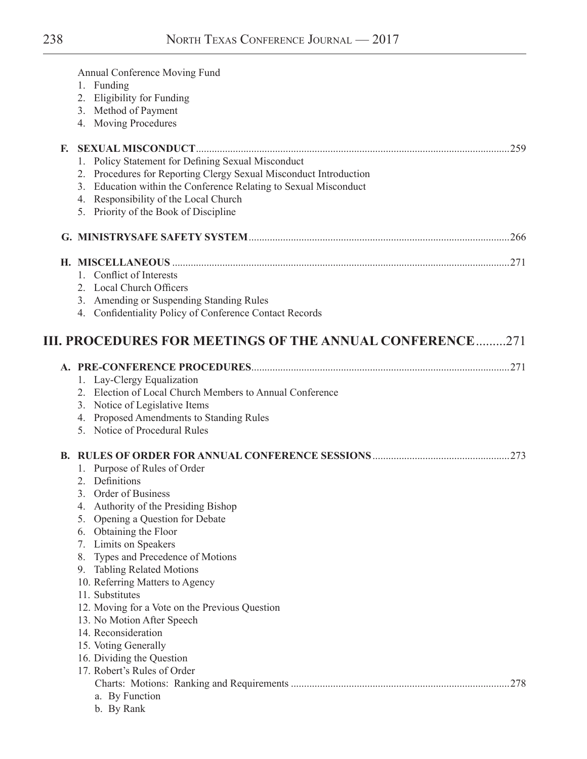|    | Annual Conference Moving Fund                                     |      |
|----|-------------------------------------------------------------------|------|
|    | 1. Funding                                                        |      |
|    | 2. Eligibility for Funding                                        |      |
|    | 3. Method of Payment                                              |      |
|    | 4. Moving Procedures                                              |      |
| E. |                                                                   | 259  |
|    | 1. Policy Statement for Defining Sexual Misconduct                |      |
|    | 2. Procedures for Reporting Clergy Sexual Misconduct Introduction |      |
|    | 3. Education within the Conference Relating to Sexual Misconduct  |      |
|    | 4. Responsibility of the Local Church                             |      |
|    | 5. Priority of the Book of Discipline                             |      |
|    |                                                                   |      |
|    |                                                                   |      |
|    | 1. Conflict of Interests                                          |      |
|    | 2. Local Church Officers                                          |      |
|    | 3. Amending or Suspending Standing Rules                          |      |
|    | 4. Confidentiality Policy of Conference Contact Records           |      |
|    |                                                                   |      |
|    | III. PROCEDURES FOR MEETINGS OF THE ANNUAL CONFERENCE271          |      |
|    |                                                                   |      |
|    | 1. Lay-Clergy Equalization                                        |      |
|    | 2. Election of Local Church Members to Annual Conference          |      |
|    | 3. Notice of Legislative Items                                    |      |
|    | 4. Proposed Amendments to Standing Rules                          |      |
|    | 5. Notice of Procedural Rules                                     |      |
|    |                                                                   | .273 |
|    | 1. Purpose of Rules of Order                                      |      |
|    | 2. Definitions                                                    |      |
|    | Order of Business<br>3.                                           |      |
|    | Authority of the Presiding Bishop<br>4.                           |      |
|    | Opening a Question for Debate<br>5.                               |      |
|    | 6. Obtaining the Floor                                            |      |
|    | Limits on Speakers<br>7.                                          |      |
|    | Types and Precedence of Motions<br>8.                             |      |
|    | <b>Tabling Related Motions</b><br>9.                              |      |
|    | 10. Referring Matters to Agency                                   |      |
|    | 11. Substitutes                                                   |      |
|    | 12. Moving for a Vote on the Previous Question                    |      |
|    | 13. No Motion After Speech                                        |      |
|    | 14. Reconsideration                                               |      |
|    | 15. Voting Generally                                              |      |
|    | 16. Dividing the Question                                         |      |
|    | 17. Robert's Rules of Order                                       |      |
|    |                                                                   | 278  |
|    | a. By Function                                                    |      |
|    |                                                                   |      |

b. By Rank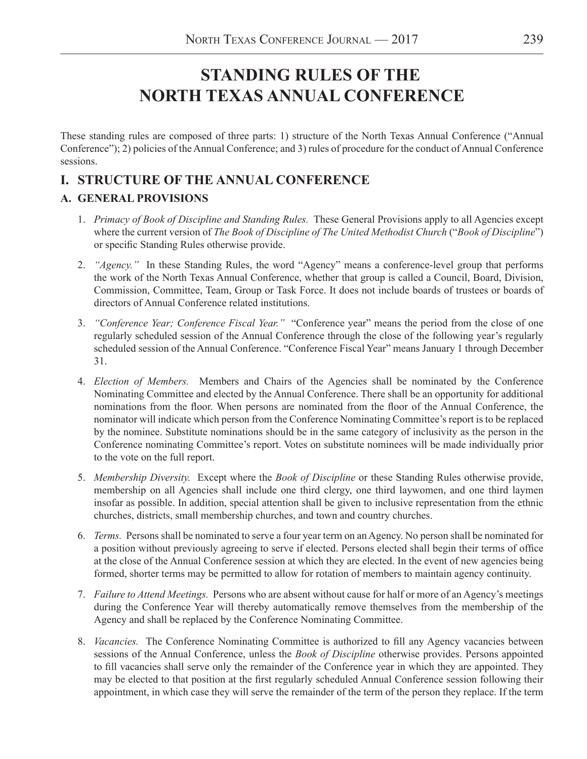# **STANDING RULES OF THE NORTH TEXAS ANNUAL CONFERENCE**

These standing rules are composed of three parts: 1) structure of the North Texas Annual Conference ("Annual Conference"); 2) policies of the Annual Conference; and 3) rules of procedure for the conduct of Annual Conference sessions.

## **I. STRUCTURE OF THE ANNUAL CONFERENCE**

## **A. GENERAL PROVISIONS**

- 1. *Primacy of Book of Discipline and Standing Rules.* These General Provisions apply to all Agencies except where the current version of *The Book of Discipline of The United Methodist Church* ("*Book of Discipline*") or specific Standing Rules otherwise provide.
- 2. *"Agency."* In these Standing Rules, the word "Agency" means a conference-level group that performs the work of the North Texas Annual Conference, whether that group is called a Council, Board, Division, Commission, Committee, Team, Group or Task Force. It does not include boards of trustees or boards of directors of Annual Conference related institutions.
- 3. *"Conference Year; Conference Fiscal Year."* "Conference year" means the period from the close of one regularly scheduled session of the Annual Conference through the close of the following year's regularly scheduled session of the Annual Conference. "Conference Fiscal Year" means January 1 through December 31.
- 4. *Election of Members.* Members and Chairs of the Agencies shall be nominated by the Conference Nominating Committee and elected by the Annual Conference. There shall be an opportunity for additional nominations from the floor. When persons are nominated from the floor of the Annual Conference, the nominator will indicate which person from the Conference Nominating Committee's report is to be replaced by the nominee. Substitute nominations should be in the same category of inclusivity as the person in the Conference nominating Committee's report. Votes on substitute nominees will be made individually prior to the vote on the full report.
- 5. *Membership Diversity.* Except where the *Book of Discipline* or these Standing Rules otherwise provide, membership on all Agencies shall include one third clergy, one third laywomen, and one third laymen insofar as possible. In addition, special attention shall be given to inclusive representation from the ethnic churches, districts, small membership churches, and town and country churches.
- 6. *Terms.* Persons shall be nominated to serve a four year term on an Agency. No person shall be nominated for a position without previously agreeing to serve if elected. Persons elected shall begin their terms of office at the close of the Annual Conference session at which they are elected. In the event of new agencies being formed, shorter terms may be permitted to allow for rotation of members to maintain agency continuity.
- 7. *Failure to Attend Meetings.* Persons who are absent without cause for half or more of an Agency's meetings during the Conference Year will thereby automatically remove themselves from the membership of the Agency and shall be replaced by the Conference Nominating Committee.
- 8. *Vacancies.* The Conference Nominating Committee is authorized to fill any Agency vacancies between sessions of the Annual Conference, unless the *Book of Discipline* otherwise provides. Persons appointed to fill vacancies shall serve only the remainder of the Conference year in which they are appointed. They may be elected to that position at the first regularly scheduled Annual Conference session following their appointment, in which case they will serve the remainder of the term of the person they replace. If the term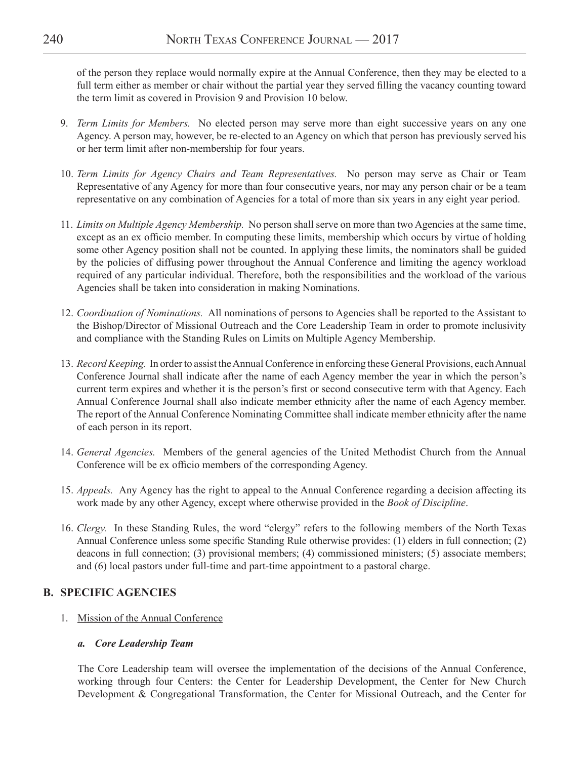of the person they replace would normally expire at the Annual Conference, then they may be elected to a full term either as member or chair without the partial year they served filling the vacancy counting toward the term limit as covered in Provision 9 and Provision 10 below.

- 9. *Term Limits for Members.* No elected person may serve more than eight successive years on any one Agency. A person may, however, be re-elected to an Agency on which that person has previously served his or her term limit after non-membership for four years.
- 10. *Term Limits for Agency Chairs and Team Representatives.* No person may serve as Chair or Team Representative of any Agency for more than four consecutive years, nor may any person chair or be a team representative on any combination of Agencies for a total of more than six years in any eight year period.
- 11. *Limits on Multiple Agency Membership.* No person shall serve on more than two Agencies at the same time, except as an ex officio member. In computing these limits, membership which occurs by virtue of holding some other Agency position shall not be counted. In applying these limits, the nominators shall be guided by the policies of diffusing power throughout the Annual Conference and limiting the agency workload required of any particular individual. Therefore, both the responsibilities and the workload of the various Agencies shall be taken into consideration in making Nominations.
- 12. *Coordination of Nominations.* All nominations of persons to Agencies shall be reported to the Assistant to the Bishop/Director of Missional Outreach and the Core Leadership Team in order to promote inclusivity and compliance with the Standing Rules on Limits on Multiple Agency Membership.
- 13. *Record Keeping.* In order to assist the Annual Conference in enforcing these General Provisions, each Annual Conference Journal shall indicate after the name of each Agency member the year in which the person's current term expires and whether it is the person's first or second consecutive term with that Agency. Each Annual Conference Journal shall also indicate member ethnicity after the name of each Agency member. The report of the Annual Conference Nominating Committee shall indicate member ethnicity after the name of each person in its report.
- 14. *General Agencies.* Members of the general agencies of the United Methodist Church from the Annual Conference will be ex officio members of the corresponding Agency.
- 15. *Appeals.* Any Agency has the right to appeal to the Annual Conference regarding a decision affecting its work made by any other Agency, except where otherwise provided in the *Book of Discipline*.
- 16. *Clergy.* In these Standing Rules, the word "clergy" refers to the following members of the North Texas Annual Conference unless some specific Standing Rule otherwise provides: (1) elders in full connection; (2) deacons in full connection; (3) provisional members; (4) commissioned ministers; (5) associate members; and (6) local pastors under full-time and part-time appointment to a pastoral charge.

## **B. SPECIFIC AGENCIES**

1. Mission of the Annual Conference

## *a. Core Leadership Team*

The Core Leadership team will oversee the implementation of the decisions of the Annual Conference, working through four Centers: the Center for Leadership Development, the Center for New Church Development & Congregational Transformation, the Center for Missional Outreach, and the Center for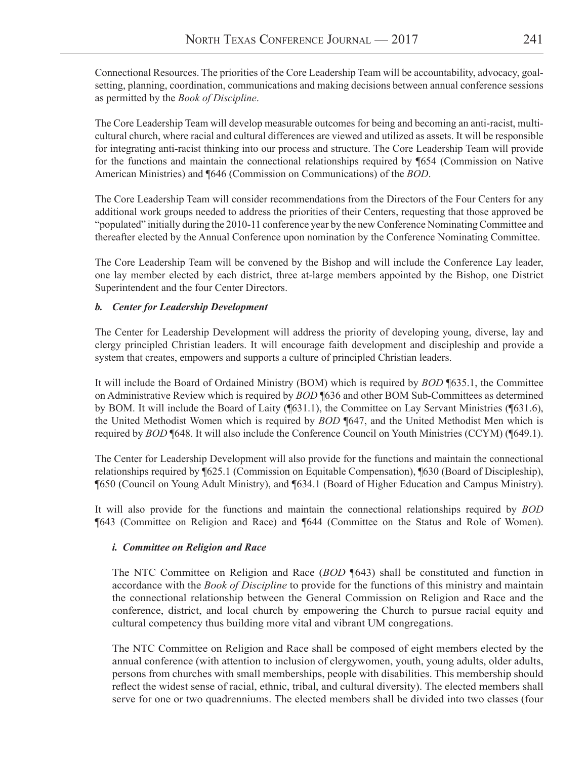Connectional Resources. The priorities of the Core Leadership Team will be accountability, advocacy, goalsetting, planning, coordination, communications and making decisions between annual conference sessions as permitted by the *Book of Discipline*.

The Core Leadership Team will develop measurable outcomes for being and becoming an anti-racist, multicultural church, where racial and cultural differences are viewed and utilized as assets. It will be responsible for integrating anti-racist thinking into our process and structure. The Core Leadership Team will provide for the functions and maintain the connectional relationships required by ¶654 (Commission on Native American Ministries) and ¶646 (Commission on Communications) of the *BOD*.

The Core Leadership Team will consider recommendations from the Directors of the Four Centers for any additional work groups needed to address the priorities of their Centers, requesting that those approved be "populated" initially during the 2010-11 conference year by the new Conference Nominating Committee and thereafter elected by the Annual Conference upon nomination by the Conference Nominating Committee.

The Core Leadership Team will be convened by the Bishop and will include the Conference Lay leader, one lay member elected by each district, three at-large members appointed by the Bishop, one District Superintendent and the four Center Directors.

#### *b. Center for Leadership Development*

The Center for Leadership Development will address the priority of developing young, diverse, lay and clergy principled Christian leaders. It will encourage faith development and discipleship and provide a system that creates, empowers and supports a culture of principled Christian leaders.

It will include the Board of Ordained Ministry (BOM) which is required by *BOD* ¶635.1, the Committee on Administrative Review which is required by *BOD* ¶636 and other BOM Sub-Committees as determined by BOM. It will include the Board of Laity (¶631.1), the Committee on Lay Servant Ministries (¶631.6), the United Methodist Women which is required by *BOD* ¶647, and the United Methodist Men which is required by *BOD* ¶648. It will also include the Conference Council on Youth Ministries (CCYM) (¶649.1).

The Center for Leadership Development will also provide for the functions and maintain the connectional relationships required by ¶625.1 (Commission on Equitable Compensation), ¶630 (Board of Discipleship), ¶650 (Council on Young Adult Ministry), and ¶634.1 (Board of Higher Education and Campus Ministry).

It will also provide for the functions and maintain the connectional relationships required by *BOD* ¶643 (Committee on Religion and Race) and ¶644 (Committee on the Status and Role of Women).

#### *i. Committee on Religion and Race*

The NTC Committee on Religion and Race (*BOD* ¶643) shall be constituted and function in accordance with the *Book of Discipline* to provide for the functions of this ministry and maintain the connectional relationship between the General Commission on Religion and Race and the conference, district, and local church by empowering the Church to pursue racial equity and cultural competency thus building more vital and vibrant UM congregations.

The NTC Committee on Religion and Race shall be composed of eight members elected by the annual conference (with attention to inclusion of clergywomen, youth, young adults, older adults, persons from churches with small memberships, people with disabilities. This membership should reflect the widest sense of racial, ethnic, tribal, and cultural diversity). The elected members shall serve for one or two quadrenniums. The elected members shall be divided into two classes (four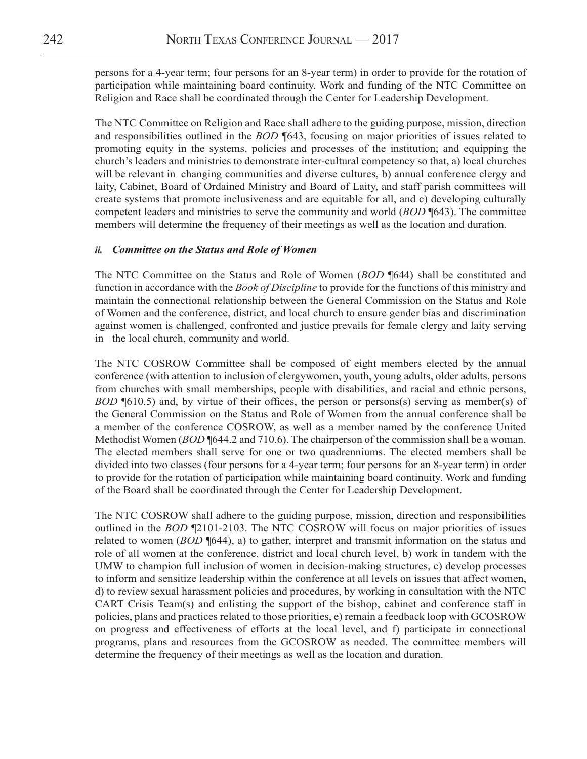persons for a 4-year term; four persons for an 8-year term) in order to provide for the rotation of participation while maintaining board continuity. Work and funding of the NTC Committee on Religion and Race shall be coordinated through the Center for Leadership Development.

The NTC Committee on Religion and Race shall adhere to the guiding purpose, mission, direction and responsibilities outlined in the *BOD* ¶643, focusing on major priorities of issues related to promoting equity in the systems, policies and processes of the institution; and equipping the church's leaders and ministries to demonstrate inter-cultural competency so that, a) local churches will be relevant in changing communities and diverse cultures, b) annual conference clergy and laity, Cabinet, Board of Ordained Ministry and Board of Laity, and staff parish committees will create systems that promote inclusiveness and are equitable for all, and c) developing culturally competent leaders and ministries to serve the community and world (*BOD* ¶643). The committee members will determine the frequency of their meetings as well as the location and duration.

#### *ii. Committee on the Status and Role of Women*

The NTC Committee on the Status and Role of Women (*BOD* ¶644) shall be constituted and function in accordance with the *Book of Discipline* to provide for the functions of this ministry and maintain the connectional relationship between the General Commission on the Status and Role of Women and the conference, district, and local church to ensure gender bias and discrimination against women is challenged, confronted and justice prevails for female clergy and laity serving in the local church, community and world.

The NTC COSROW Committee shall be composed of eight members elected by the annual conference (with attention to inclusion of clergywomen, youth, young adults, older adults, persons from churches with small memberships, people with disabilities, and racial and ethnic persons, *BOD* ¶610.5) and, by virtue of their offices, the person or persons(s) serving as member(s) of the General Commission on the Status and Role of Women from the annual conference shall be a member of the conference COSROW, as well as a member named by the conference United Methodist Women (*BOD* ¶644.2 and 710.6). The chairperson of the commission shall be a woman. The elected members shall serve for one or two quadrenniums. The elected members shall be divided into two classes (four persons for a 4-year term; four persons for an 8-year term) in order to provide for the rotation of participation while maintaining board continuity. Work and funding of the Board shall be coordinated through the Center for Leadership Development.

The NTC COSROW shall adhere to the guiding purpose, mission, direction and responsibilities outlined in the *BOD* ¶2101-2103. The NTC COSROW will focus on major priorities of issues related to women (*BOD* ¶644), a) to gather, interpret and transmit information on the status and role of all women at the conference, district and local church level, b) work in tandem with the UMW to champion full inclusion of women in decision-making structures, c) develop processes to inform and sensitize leadership within the conference at all levels on issues that affect women, d) to review sexual harassment policies and procedures, by working in consultation with the NTC CART Crisis Team(s) and enlisting the support of the bishop, cabinet and conference staff in policies, plans and practices related to those priorities, e) remain a feedback loop with GCOSROW on progress and effectiveness of efforts at the local level, and f) participate in connectional programs, plans and resources from the GCOSROW as needed. The committee members will determine the frequency of their meetings as well as the location and duration.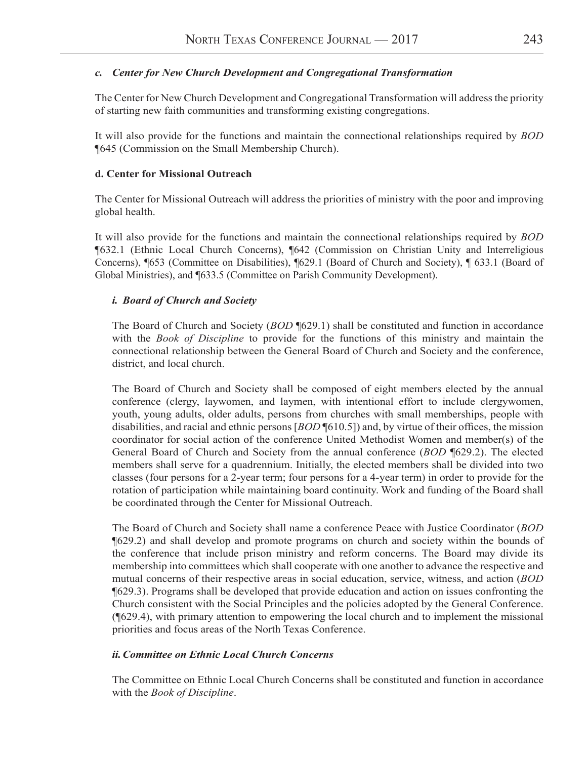#### *c. Center for New Church Development and Congregational Transformation*

The Center for New Church Development and Congregational Transformation will address the priority of starting new faith communities and transforming existing congregations.

It will also provide for the functions and maintain the connectional relationships required by *BOD* ¶645 (Commission on the Small Membership Church).

#### **d. Center for Missional Outreach**

The Center for Missional Outreach will address the priorities of ministry with the poor and improving global health.

It will also provide for the functions and maintain the connectional relationships required by *BOD* ¶632.1 (Ethnic Local Church Concerns), ¶642 (Commission on Christian Unity and Interreligious Concerns), ¶653 (Committee on Disabilities), ¶629.1 (Board of Church and Society), ¶ 633.1 (Board of Global Ministries), and ¶633.5 (Committee on Parish Community Development).

#### *i. Board of Church and Society*

The Board of Church and Society (*BOD* ¶629.1) shall be constituted and function in accordance with the *Book of Discipline* to provide for the functions of this ministry and maintain the connectional relationship between the General Board of Church and Society and the conference, district, and local church.

The Board of Church and Society shall be composed of eight members elected by the annual conference (clergy, laywomen, and laymen, with intentional effort to include clergywomen, youth, young adults, older adults, persons from churches with small memberships, people with disabilities, and racial and ethnic persons [*BOD* ¶610.5]) and, by virtue of their offices, the mission coordinator for social action of the conference United Methodist Women and member(s) of the General Board of Church and Society from the annual conference (*BOD* ¶629.2). The elected members shall serve for a quadrennium. Initially, the elected members shall be divided into two classes (four persons for a 2-year term; four persons for a 4-year term) in order to provide for the rotation of participation while maintaining board continuity. Work and funding of the Board shall be coordinated through the Center for Missional Outreach.

The Board of Church and Society shall name a conference Peace with Justice Coordinator (*BOD* ¶629.2) and shall develop and promote programs on church and society within the bounds of the conference that include prison ministry and reform concerns. The Board may divide its membership into committees which shall cooperate with one another to advance the respective and mutual concerns of their respective areas in social education, service, witness, and action (*BOD* ¶629.3). Programs shall be developed that provide education and action on issues confronting the Church consistent with the Social Principles and the policies adopted by the General Conference. (¶629.4), with primary attention to empowering the local church and to implement the missional priorities and focus areas of the North Texas Conference.

#### *ii.Committee on Ethnic Local Church Concerns*

The Committee on Ethnic Local Church Concerns shall be constituted and function in accordance with the *Book of Discipline*.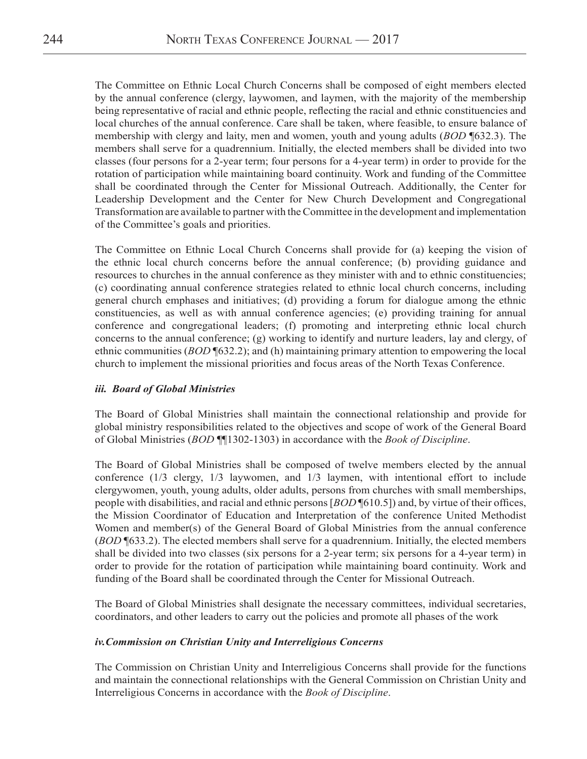The Committee on Ethnic Local Church Concerns shall be composed of eight members elected by the annual conference (clergy, laywomen, and laymen, with the majority of the membership being representative of racial and ethnic people, reflecting the racial and ethnic constituencies and local churches of the annual conference. Care shall be taken, where feasible, to ensure balance of membership with clergy and laity, men and women, youth and young adults (*BOD* ¶632.3). The members shall serve for a quadrennium. Initially, the elected members shall be divided into two classes (four persons for a 2-year term; four persons for a 4-year term) in order to provide for the rotation of participation while maintaining board continuity. Work and funding of the Committee shall be coordinated through the Center for Missional Outreach. Additionally, the Center for Leadership Development and the Center for New Church Development and Congregational Transformation are available to partner with the Committee in the development and implementation of the Committee's goals and priorities.

The Committee on Ethnic Local Church Concerns shall provide for (a) keeping the vision of the ethnic local church concerns before the annual conference; (b) providing guidance and resources to churches in the annual conference as they minister with and to ethnic constituencies; (c) coordinating annual conference strategies related to ethnic local church concerns, including general church emphases and initiatives; (d) providing a forum for dialogue among the ethnic constituencies, as well as with annual conference agencies; (e) providing training for annual conference and congregational leaders; (f) promoting and interpreting ethnic local church concerns to the annual conference; (g) working to identify and nurture leaders, lay and clergy, of ethnic communities (*BOD* ¶632.2); and (h) maintaining primary attention to empowering the local church to implement the missional priorities and focus areas of the North Texas Conference.

#### *iii. Board of Global Ministries*

The Board of Global Ministries shall maintain the connectional relationship and provide for global ministry responsibilities related to the objectives and scope of work of the General Board of Global Ministries (*BOD* ¶¶1302-1303) in accordance with the *Book of Discipline*.

The Board of Global Ministries shall be composed of twelve members elected by the annual conference (1/3 clergy, 1/3 laywomen, and 1/3 laymen, with intentional effort to include clergywomen, youth, young adults, older adults, persons from churches with small memberships, people with disabilities, and racial and ethnic persons [*BOD* ¶610.5]) and, by virtue of their offices, the Mission Coordinator of Education and Interpretation of the conference United Methodist Women and member(s) of the General Board of Global Ministries from the annual conference (*BOD* ¶633.2). The elected members shall serve for a quadrennium. Initially, the elected members shall be divided into two classes (six persons for a 2-year term; six persons for a 4-year term) in order to provide for the rotation of participation while maintaining board continuity. Work and funding of the Board shall be coordinated through the Center for Missional Outreach.

The Board of Global Ministries shall designate the necessary committees, individual secretaries, coordinators, and other leaders to carry out the policies and promote all phases of the work

#### *iv.Commission on Christian Unity and Interreligious Concerns*

The Commission on Christian Unity and Interreligious Concerns shall provide for the functions and maintain the connectional relationships with the General Commission on Christian Unity and Interreligious Concerns in accordance with the *Book of Discipline*.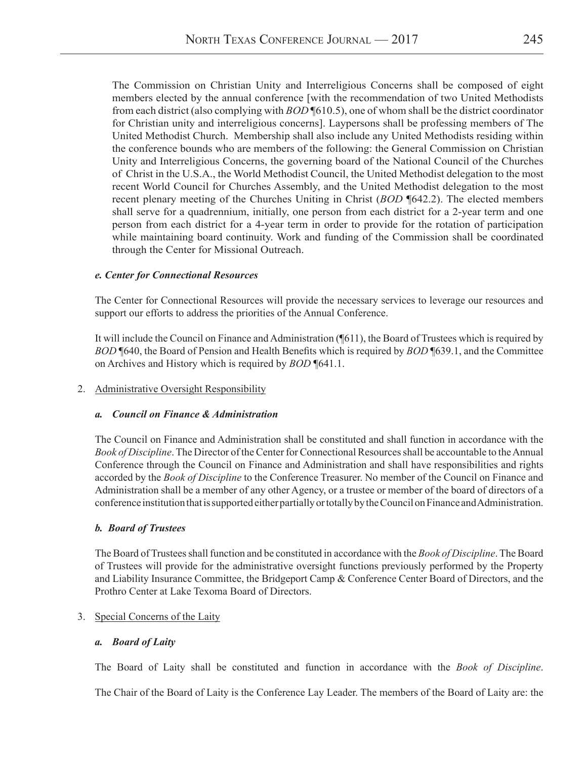The Commission on Christian Unity and Interreligious Concerns shall be composed of eight members elected by the annual conference [with the recommendation of two United Methodists from each district (also complying with *BOD* ¶610.5), one of whom shall be the district coordinator for Christian unity and interreligious concerns]. Laypersons shall be professing members of The United Methodist Church. Membership shall also include any United Methodists residing within the conference bounds who are members of the following: the General Commission on Christian Unity and Interreligious Concerns, the governing board of the National Council of the Churches of Christ in the U.S.A., the World Methodist Council, the United Methodist delegation to the most recent World Council for Churches Assembly, and the United Methodist delegation to the most recent plenary meeting of the Churches Uniting in Christ (*BOD* ¶642.2). The elected members shall serve for a quadrennium, initially, one person from each district for a 2-year term and one person from each district for a 4-year term in order to provide for the rotation of participation while maintaining board continuity. Work and funding of the Commission shall be coordinated through the Center for Missional Outreach.

#### *e. Center for Connectional Resources*

The Center for Connectional Resources will provide the necessary services to leverage our resources and support our efforts to address the priorities of the Annual Conference.

It will include the Council on Finance and Administration (¶611), the Board of Trustees which is required by *BOD* ¶640, the Board of Pension and Health Benefits which is required by *BOD* ¶639.1, and the Committee on Archives and History which is required by *BOD* ¶641.1.

#### 2. Administrative Oversight Responsibility

#### *a. Council on Finance & Administration*

The Council on Finance and Administration shall be constituted and shall function in accordance with the *Book of Discipline*. The Director of the Center for Connectional Resources shall be accountable to the Annual Conference through the Council on Finance and Administration and shall have responsibilities and rights accorded by the *Book of Discipline* to the Conference Treasurer. No member of the Council on Finance and Administration shall be a member of any other Agency, or a trustee or member of the board of directors of a conference institution that is supported either partially or totally by the Council on Finance and Administration.

#### *b. Board of Trustees*

The Board of Trustees shall function and be constituted in accordance with the *Book of Discipline*. The Board of Trustees will provide for the administrative oversight functions previously performed by the Property and Liability Insurance Committee, the Bridgeport Camp & Conference Center Board of Directors, and the Prothro Center at Lake Texoma Board of Directors.

#### 3. Special Concerns of the Laity

#### *a. Board of Laity*

The Board of Laity shall be constituted and function in accordance with the *Book of Discipline*.

The Chair of the Board of Laity is the Conference Lay Leader. The members of the Board of Laity are: the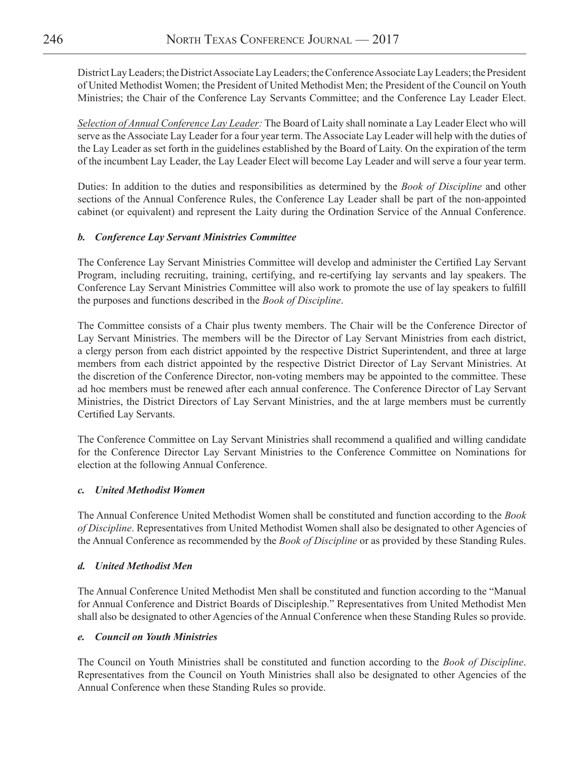District Lay Leaders; the District Associate Lay Leaders; the Conference Associate Lay Leaders; the President of United Methodist Women; the President of United Methodist Men; the President of the Council on Youth Ministries; the Chair of the Conference Lay Servants Committee; and the Conference Lay Leader Elect.

*Selection of Annual Conference Lay Leader:* The Board of Laity shall nominate a Lay Leader Elect who will serve as the Associate Lay Leader for a four year term. The Associate Lay Leader will help with the duties of the Lay Leader as set forth in the guidelines established by the Board of Laity. On the expiration of the term of the incumbent Lay Leader, the Lay Leader Elect will become Lay Leader and will serve a four year term.

Duties: In addition to the duties and responsibilities as determined by the *Book of Discipline* and other sections of the Annual Conference Rules, the Conference Lay Leader shall be part of the non-appointed cabinet (or equivalent) and represent the Laity during the Ordination Service of the Annual Conference.

#### *b. Conference Lay Servant Ministries Committee*

The Conference Lay Servant Ministries Committee will develop and administer the Certified Lay Servant Program, including recruiting, training, certifying, and re-certifying lay servants and lay speakers. The Conference Lay Servant Ministries Committee will also work to promote the use of lay speakers to fulfill the purposes and functions described in the *Book of Discipline*.

The Committee consists of a Chair plus twenty members. The Chair will be the Conference Director of Lay Servant Ministries. The members will be the Director of Lay Servant Ministries from each district, a clergy person from each district appointed by the respective District Superintendent, and three at large members from each district appointed by the respective District Director of Lay Servant Ministries. At the discretion of the Conference Director, non-voting members may be appointed to the committee. These ad hoc members must be renewed after each annual conference. The Conference Director of Lay Servant Ministries, the District Directors of Lay Servant Ministries, and the at large members must be currently Certified Lay Servants.

The Conference Committee on Lay Servant Ministries shall recommend a qualified and willing candidate for the Conference Director Lay Servant Ministries to the Conference Committee on Nominations for election at the following Annual Conference.

#### *c. United Methodist Women*

The Annual Conference United Methodist Women shall be constituted and function according to the *Book of Discipline*. Representatives from United Methodist Women shall also be designated to other Agencies of the Annual Conference as recommended by the *Book of Discipline* or as provided by these Standing Rules.

#### *d. United Methodist Men*

The Annual Conference United Methodist Men shall be constituted and function according to the "Manual for Annual Conference and District Boards of Discipleship." Representatives from United Methodist Men shall also be designated to other Agencies of the Annual Conference when these Standing Rules so provide.

#### *e. Council on Youth Ministries*

The Council on Youth Ministries shall be constituted and function according to the *Book of Discipline*. Representatives from the Council on Youth Ministries shall also be designated to other Agencies of the Annual Conference when these Standing Rules so provide.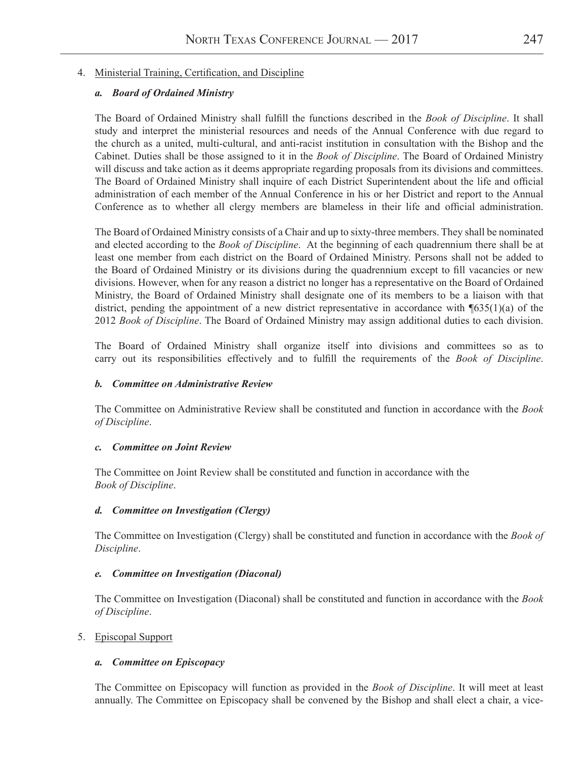#### 4. Ministerial Training, Certification, and Discipline

#### *a. Board of Ordained Ministry*

The Board of Ordained Ministry shall fulfill the functions described in the *Book of Discipline*. It shall study and interpret the ministerial resources and needs of the Annual Conference with due regard to the church as a united, multi-cultural, and anti-racist institution in consultation with the Bishop and the Cabinet. Duties shall be those assigned to it in the *Book of Discipline*. The Board of Ordained Ministry will discuss and take action as it deems appropriate regarding proposals from its divisions and committees. The Board of Ordained Ministry shall inquire of each District Superintendent about the life and official administration of each member of the Annual Conference in his or her District and report to the Annual Conference as to whether all clergy members are blameless in their life and official administration.

The Board of Ordained Ministry consists of a Chair and up to sixty-three members. They shall be nominated and elected according to the *Book of Discipline*. At the beginning of each quadrennium there shall be at least one member from each district on the Board of Ordained Ministry. Persons shall not be added to the Board of Ordained Ministry or its divisions during the quadrennium except to fill vacancies or new divisions. However, when for any reason a district no longer has a representative on the Board of Ordained Ministry, the Board of Ordained Ministry shall designate one of its members to be a liaison with that district, pending the appointment of a new district representative in accordance with ¶635(1)(a) of the 2012 *Book of Discipline*. The Board of Ordained Ministry may assign additional duties to each division.

The Board of Ordained Ministry shall organize itself into divisions and committees so as to carry out its responsibilities effectively and to fulfill the requirements of the *Book of Discipline*.

#### *b. Committee on Administrative Review*

The Committee on Administrative Review shall be constituted and function in accordance with the *Book of Discipline*.

#### *c. Committee on Joint Review*

The Committee on Joint Review shall be constituted and function in accordance with the *Book of Discipline*.

#### *d. Committee on Investigation (Clergy)*

The Committee on Investigation (Clergy) shall be constituted and function in accordance with the *Book of Discipline*.

#### *e. Committee on Investigation (Diaconal)*

The Committee on Investigation (Diaconal) shall be constituted and function in accordance with the *Book of Discipline*.

#### 5. Episcopal Support

#### *a. Committee on Episcopacy*

The Committee on Episcopacy will function as provided in the *Book of Discipline*. It will meet at least annually. The Committee on Episcopacy shall be convened by the Bishop and shall elect a chair, a vice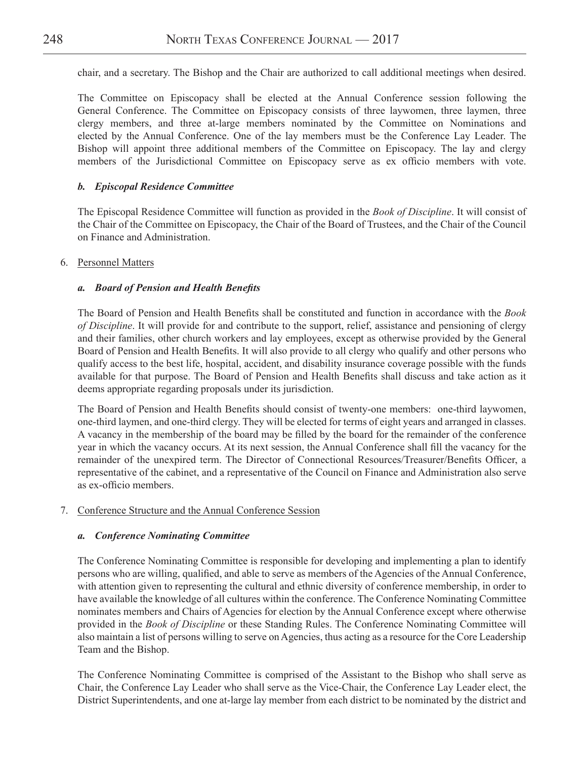chair, and a secretary. The Bishop and the Chair are authorized to call additional meetings when desired.

The Committee on Episcopacy shall be elected at the Annual Conference session following the General Conference. The Committee on Episcopacy consists of three laywomen, three laymen, three clergy members, and three at-large members nominated by the Committee on Nominations and elected by the Annual Conference. One of the lay members must be the Conference Lay Leader. The Bishop will appoint three additional members of the Committee on Episcopacy. The lay and clergy members of the Jurisdictional Committee on Episcopacy serve as ex officio members with vote.

#### *b. Episcopal Residence Committee*

The Episcopal Residence Committee will function as provided in the *Book of Discipline*. It will consist of the Chair of the Committee on Episcopacy, the Chair of the Board of Trustees, and the Chair of the Council on Finance and Administration.

#### 6. Personnel Matters

#### *a. Board of Pension and Health Benefits*

The Board of Pension and Health Benefits shall be constituted and function in accordance with the *Book of Discipline*. It will provide for and contribute to the support, relief, assistance and pensioning of clergy and their families, other church workers and lay employees, except as otherwise provided by the General Board of Pension and Health Benefits. It will also provide to all clergy who qualify and other persons who qualify access to the best life, hospital, accident, and disability insurance coverage possible with the funds available for that purpose. The Board of Pension and Health Benefits shall discuss and take action as it deems appropriate regarding proposals under its jurisdiction.

The Board of Pension and Health Benefits should consist of twenty-one members: one-third laywomen, one-third laymen, and one-third clergy. They will be elected for terms of eight years and arranged in classes. A vacancy in the membership of the board may be filled by the board for the remainder of the conference year in which the vacancy occurs. At its next session, the Annual Conference shall fill the vacancy for the remainder of the unexpired term. The Director of Connectional Resources/Treasurer/Benefits Officer, a representative of the cabinet, and a representative of the Council on Finance and Administration also serve as ex-officio members.

#### 7. Conference Structure and the Annual Conference Session

#### *a. Conference Nominating Committee*

The Conference Nominating Committee is responsible for developing and implementing a plan to identify persons who are willing, qualified, and able to serve as members of the Agencies of the Annual Conference, with attention given to representing the cultural and ethnic diversity of conference membership, in order to have available the knowledge of all cultures within the conference. The Conference Nominating Committee nominates members and Chairs of Agencies for election by the Annual Conference except where otherwise provided in the *Book of Discipline* or these Standing Rules. The Conference Nominating Committee will also maintain a list of persons willing to serve on Agencies, thus acting as a resource for the Core Leadership Team and the Bishop.

The Conference Nominating Committee is comprised of the Assistant to the Bishop who shall serve as Chair, the Conference Lay Leader who shall serve as the Vice-Chair, the Conference Lay Leader elect, the District Superintendents, and one at-large lay member from each district to be nominated by the district and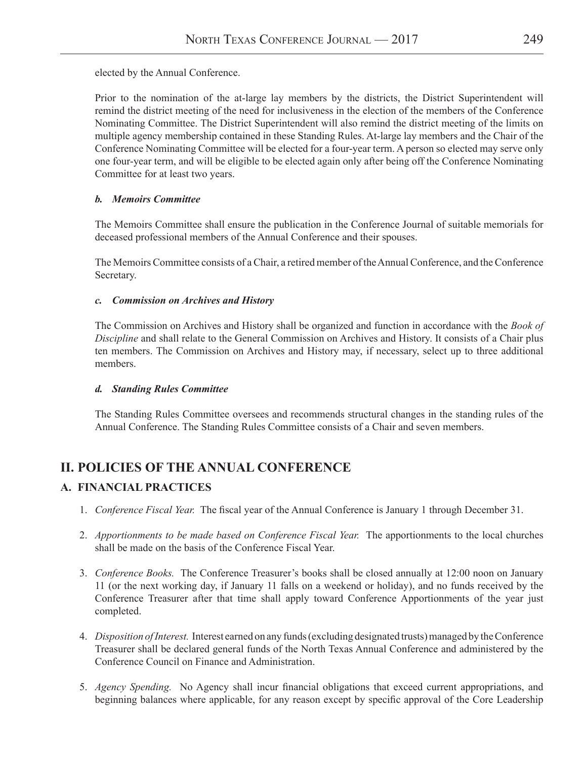elected by the Annual Conference.

Prior to the nomination of the at-large lay members by the districts, the District Superintendent will remind the district meeting of the need for inclusiveness in the election of the members of the Conference Nominating Committee. The District Superintendent will also remind the district meeting of the limits on multiple agency membership contained in these Standing Rules. At-large lay members and the Chair of the Conference Nominating Committee will be elected for a four-year term. A person so elected may serve only one four-year term, and will be eligible to be elected again only after being off the Conference Nominating Committee for at least two years.

#### *b. Memoirs Committee*

The Memoirs Committee shall ensure the publication in the Conference Journal of suitable memorials for deceased professional members of the Annual Conference and their spouses.

The Memoirs Committee consists of a Chair, a retired member of the Annual Conference, and the Conference Secretary.

#### *c. Commission on Archives and History*

The Commission on Archives and History shall be organized and function in accordance with the *Book of Discipline* and shall relate to the General Commission on Archives and History. It consists of a Chair plus ten members. The Commission on Archives and History may, if necessary, select up to three additional members.

#### *d. Standing Rules Committee*

The Standing Rules Committee oversees and recommends structural changes in the standing rules of the Annual Conference. The Standing Rules Committee consists of a Chair and seven members.

## **II. POLICIES OF THE ANNUAL CONFERENCE**

## **A. FINANCIAL PRACTICES**

- 1. *Conference Fiscal Year.* The fiscal year of the Annual Conference is January 1 through December 31.
- 2. *Apportionments to be made based on Conference Fiscal Year.* The apportionments to the local churches shall be made on the basis of the Conference Fiscal Year.
- 3. *Conference Books.* The Conference Treasurer's books shall be closed annually at 12:00 noon on January 11 (or the next working day, if January 11 falls on a weekend or holiday), and no funds received by the Conference Treasurer after that time shall apply toward Conference Apportionments of the year just completed.
- 4. *Disposition of Interest.* Interest earned on any funds (excluding designated trusts) managed by the Conference Treasurer shall be declared general funds of the North Texas Annual Conference and administered by the Conference Council on Finance and Administration.
- 5. *Agency Spending.* No Agency shall incur financial obligations that exceed current appropriations, and beginning balances where applicable, for any reason except by specific approval of the Core Leadership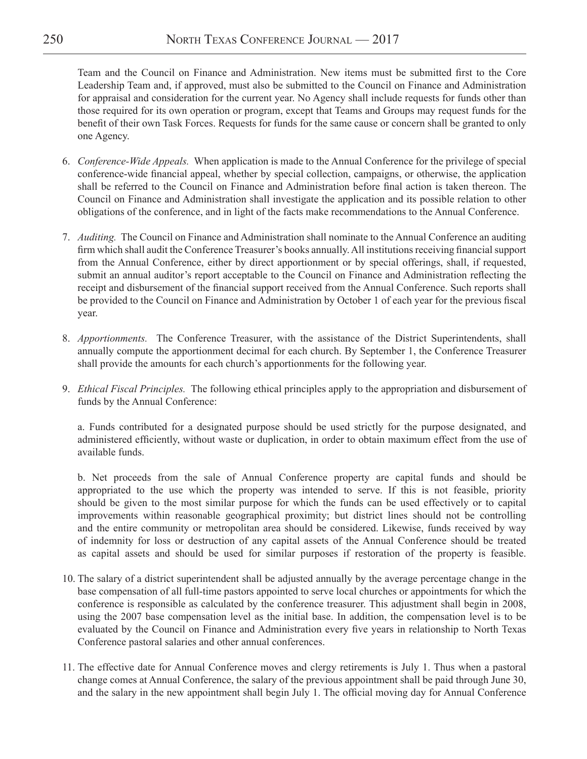Team and the Council on Finance and Administration. New items must be submitted first to the Core Leadership Team and, if approved, must also be submitted to the Council on Finance and Administration for appraisal and consideration for the current year. No Agency shall include requests for funds other than those required for its own operation or program, except that Teams and Groups may request funds for the benefit of their own Task Forces. Requests for funds for the same cause or concern shall be granted to only one Agency.

- 6. *Conference-Wide Appeals.* When application is made to the Annual Conference for the privilege of special conference-wide financial appeal, whether by special collection, campaigns, or otherwise, the application shall be referred to the Council on Finance and Administration before final action is taken thereon. The Council on Finance and Administration shall investigate the application and its possible relation to other obligations of the conference, and in light of the facts make recommendations to the Annual Conference.
- 7. *Auditing.* The Council on Finance and Administration shall nominate to the Annual Conference an auditing firm which shall audit the Conference Treasurer's books annually. All institutions receiving financial support from the Annual Conference, either by direct apportionment or by special offerings, shall, if requested, submit an annual auditor's report acceptable to the Council on Finance and Administration reflecting the receipt and disbursement of the financial support received from the Annual Conference. Such reports shall be provided to the Council on Finance and Administration by October 1 of each year for the previous fiscal year.
- 8. *Apportionments.* The Conference Treasurer, with the assistance of the District Superintendents, shall annually compute the apportionment decimal for each church. By September 1, the Conference Treasurer shall provide the amounts for each church's apportionments for the following year.
- 9. *Ethical Fiscal Principles.* The following ethical principles apply to the appropriation and disbursement of funds by the Annual Conference:

a. Funds contributed for a designated purpose should be used strictly for the purpose designated, and administered efficiently, without waste or duplication, in order to obtain maximum effect from the use of available funds.

b. Net proceeds from the sale of Annual Conference property are capital funds and should be appropriated to the use which the property was intended to serve. If this is not feasible, priority should be given to the most similar purpose for which the funds can be used effectively or to capital improvements within reasonable geographical proximity; but district lines should not be controlling and the entire community or metropolitan area should be considered. Likewise, funds received by way of indemnity for loss or destruction of any capital assets of the Annual Conference should be treated as capital assets and should be used for similar purposes if restoration of the property is feasible.

- 10. The salary of a district superintendent shall be adjusted annually by the average percentage change in the base compensation of all full-time pastors appointed to serve local churches or appointments for which the conference is responsible as calculated by the conference treasurer. This adjustment shall begin in 2008, using the 2007 base compensation level as the initial base. In addition, the compensation level is to be evaluated by the Council on Finance and Administration every five years in relationship to North Texas Conference pastoral salaries and other annual conferences.
- 11. The effective date for Annual Conference moves and clergy retirements is July 1. Thus when a pastoral change comes at Annual Conference, the salary of the previous appointment shall be paid through June 30, and the salary in the new appointment shall begin July 1. The official moving day for Annual Conference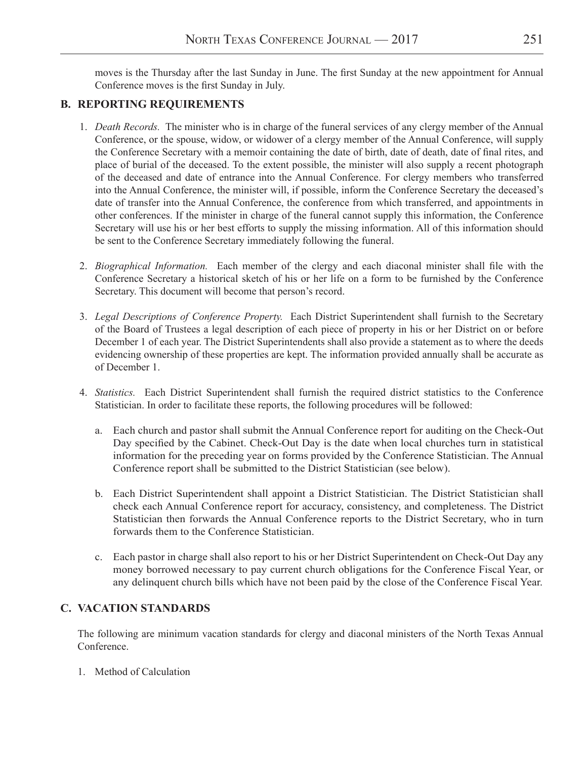moves is the Thursday after the last Sunday in June. The first Sunday at the new appointment for Annual Conference moves is the first Sunday in July.

## **B. REPORTING REQUIREMENTS**

- 1. *Death Records.* The minister who is in charge of the funeral services of any clergy member of the Annual Conference, or the spouse, widow, or widower of a clergy member of the Annual Conference, will supply the Conference Secretary with a memoir containing the date of birth, date of death, date of final rites, and place of burial of the deceased. To the extent possible, the minister will also supply a recent photograph of the deceased and date of entrance into the Annual Conference. For clergy members who transferred into the Annual Conference, the minister will, if possible, inform the Conference Secretary the deceased's date of transfer into the Annual Conference, the conference from which transferred, and appointments in other conferences. If the minister in charge of the funeral cannot supply this information, the Conference Secretary will use his or her best efforts to supply the missing information. All of this information should be sent to the Conference Secretary immediately following the funeral.
- 2. *Biographical Information.* Each member of the clergy and each diaconal minister shall file with the Conference Secretary a historical sketch of his or her life on a form to be furnished by the Conference Secretary. This document will become that person's record.
- 3. *Legal Descriptions of Conference Property.* Each District Superintendent shall furnish to the Secretary of the Board of Trustees a legal description of each piece of property in his or her District on or before December 1 of each year. The District Superintendents shall also provide a statement as to where the deeds evidencing ownership of these properties are kept. The information provided annually shall be accurate as of December 1.
- 4. *Statistics.* Each District Superintendent shall furnish the required district statistics to the Conference Statistician. In order to facilitate these reports, the following procedures will be followed:
	- a. Each church and pastor shall submit the Annual Conference report for auditing on the Check-Out Day specified by the Cabinet. Check-Out Day is the date when local churches turn in statistical information for the preceding year on forms provided by the Conference Statistician. The Annual Conference report shall be submitted to the District Statistician (see below).
	- b. Each District Superintendent shall appoint a District Statistician. The District Statistician shall check each Annual Conference report for accuracy, consistency, and completeness. The District Statistician then forwards the Annual Conference reports to the District Secretary, who in turn forwards them to the Conference Statistician.
	- c. Each pastor in charge shall also report to his or her District Superintendent on Check-Out Day any money borrowed necessary to pay current church obligations for the Conference Fiscal Year, or any delinquent church bills which have not been paid by the close of the Conference Fiscal Year.

## **C. VACATION STANDARDS**

The following are minimum vacation standards for clergy and diaconal ministers of the North Texas Annual Conference.

1. Method of Calculation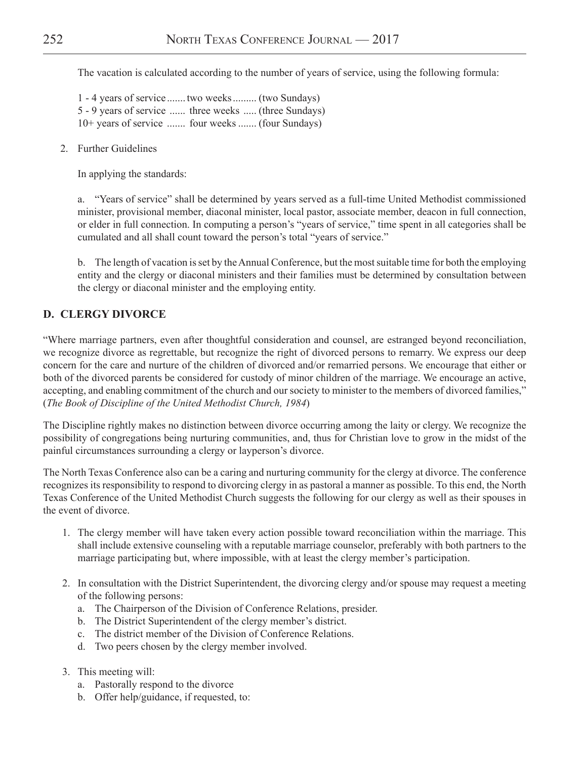The vacation is calculated according to the number of years of service, using the following formula:

1 - 4 years of service .......two weeks......... (two Sundays) 5 - 9 years of service ...... three weeks ..... (three Sundays) 10+ years of service ....... four weeks ....... (four Sundays)

2. Further Guidelines

In applying the standards:

a. "Years of service" shall be determined by years served as a full-time United Methodist commissioned minister, provisional member, diaconal minister, local pastor, associate member, deacon in full connection, or elder in full connection. In computing a person's "years of service," time spent in all categories shall be cumulated and all shall count toward the person's total "years of service."

b. The length of vacation is set by the Annual Conference, but the most suitable time for both the employing entity and the clergy or diaconal ministers and their families must be determined by consultation between the clergy or diaconal minister and the employing entity.

## **D. CLERGY DIVORCE**

"Where marriage partners, even after thoughtful consideration and counsel, are estranged beyond reconciliation, we recognize divorce as regrettable, but recognize the right of divorced persons to remarry. We express our deep concern for the care and nurture of the children of divorced and/or remarried persons. We encourage that either or both of the divorced parents be considered for custody of minor children of the marriage. We encourage an active, accepting, and enabling commitment of the church and our society to minister to the members of divorced families," (*The Book of Discipline of the United Methodist Church, 1984*)

The Discipline rightly makes no distinction between divorce occurring among the laity or clergy. We recognize the possibility of congregations being nurturing communities, and, thus for Christian love to grow in the midst of the painful circumstances surrounding a clergy or layperson's divorce.

The North Texas Conference also can be a caring and nurturing community for the clergy at divorce. The conference recognizes its responsibility to respond to divorcing clergy in as pastoral a manner as possible. To this end, the North Texas Conference of the United Methodist Church suggests the following for our clergy as well as their spouses in the event of divorce.

- 1. The clergy member will have taken every action possible toward reconciliation within the marriage. This shall include extensive counseling with a reputable marriage counselor, preferably with both partners to the marriage participating but, where impossible, with at least the clergy member's participation.
- 2. In consultation with the District Superintendent, the divorcing clergy and/or spouse may request a meeting of the following persons:
	- a. The Chairperson of the Division of Conference Relations, presider.
	- b. The District Superintendent of the clergy member's district.
	- c. The district member of the Division of Conference Relations.
	- d. Two peers chosen by the clergy member involved.
- 3. This meeting will:
	- a. Pastorally respond to the divorce
	- b. Offer help/guidance, if requested, to: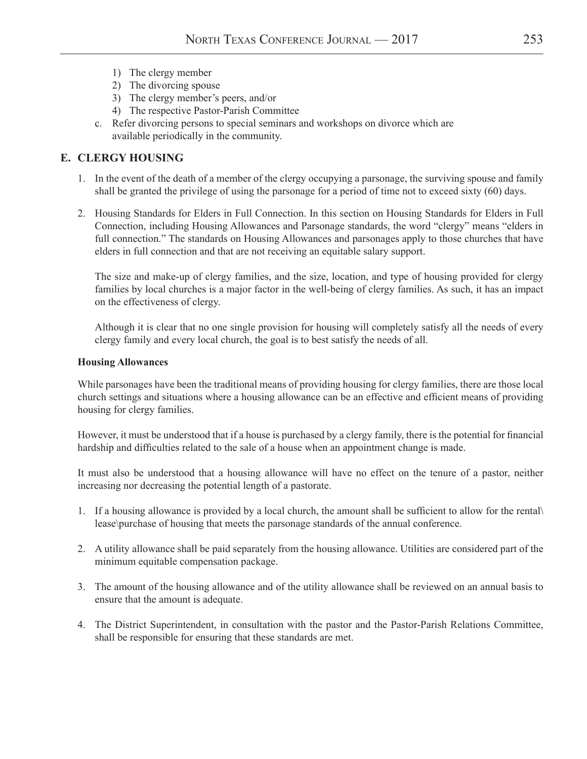- 1) The clergy member
- 2) The divorcing spouse
- 3) The clergy member's peers, and/or
- 4) The respective Pastor-Parish Committee
- c. Refer divorcing persons to special seminars and workshops on divorce which are available periodically in the community.

## **E. CLERGY HOUSING**

- 1. In the event of the death of a member of the clergy occupying a parsonage, the surviving spouse and family shall be granted the privilege of using the parsonage for a period of time not to exceed sixty (60) days.
- 2. Housing Standards for Elders in Full Connection. In this section on Housing Standards for Elders in Full Connection, including Housing Allowances and Parsonage standards, the word "clergy" means "elders in full connection." The standards on Housing Allowances and parsonages apply to those churches that have elders in full connection and that are not receiving an equitable salary support.

The size and make-up of clergy families, and the size, location, and type of housing provided for clergy families by local churches is a major factor in the well-being of clergy families. As such, it has an impact on the effectiveness of clergy.

Although it is clear that no one single provision for housing will completely satisfy all the needs of every clergy family and every local church, the goal is to best satisfy the needs of all.

#### **Housing Allowances**

While parsonages have been the traditional means of providing housing for clergy families, there are those local church settings and situations where a housing allowance can be an effective and efficient means of providing housing for clergy families.

However, it must be understood that if a house is purchased by a clergy family, there is the potential for financial hardship and difficulties related to the sale of a house when an appointment change is made.

It must also be understood that a housing allowance will have no effect on the tenure of a pastor, neither increasing nor decreasing the potential length of a pastorate.

- 1. If a housing allowance is provided by a local church, the amount shall be sufficient to allow for the rental\ lease\purchase of housing that meets the parsonage standards of the annual conference.
- 2. A utility allowance shall be paid separately from the housing allowance. Utilities are considered part of the minimum equitable compensation package.
- 3. The amount of the housing allowance and of the utility allowance shall be reviewed on an annual basis to ensure that the amount is adequate.
- 4. The District Superintendent, in consultation with the pastor and the Pastor-Parish Relations Committee, shall be responsible for ensuring that these standards are met.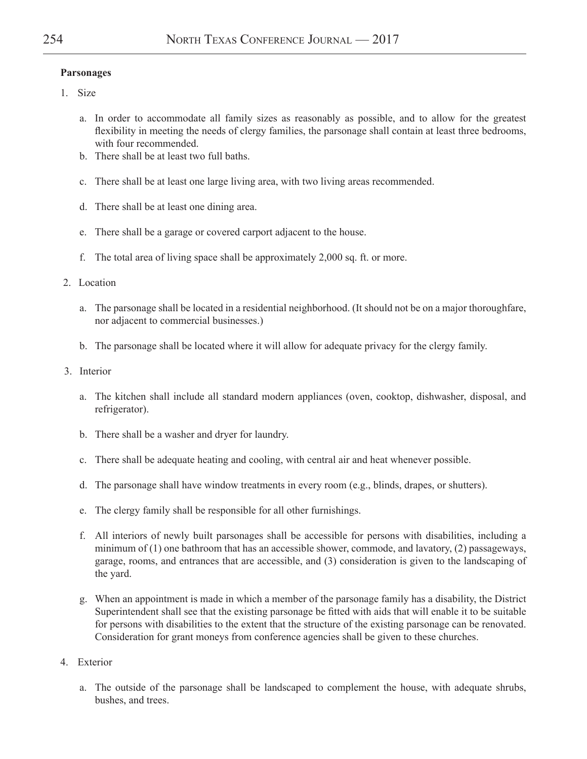#### **Parsonages**

- 1. Size
	- a. In order to accommodate all family sizes as reasonably as possible, and to allow for the greatest flexibility in meeting the needs of clergy families, the parsonage shall contain at least three bedrooms, with four recommended.
	- b. There shall be at least two full baths.
	- c. There shall be at least one large living area, with two living areas recommended.
	- d. There shall be at least one dining area.
	- e. There shall be a garage or covered carport adjacent to the house.
	- f. The total area of living space shall be approximately 2,000 sq. ft. or more.
- 2. Location
	- a. The parsonage shall be located in a residential neighborhood. (It should not be on a major thoroughfare, nor adjacent to commercial businesses.)
	- b. The parsonage shall be located where it will allow for adequate privacy for the clergy family.
- 3. Interior
	- a. The kitchen shall include all standard modern appliances (oven, cooktop, dishwasher, disposal, and refrigerator).
	- b. There shall be a washer and dryer for laundry.
	- c. There shall be adequate heating and cooling, with central air and heat whenever possible.
	- d. The parsonage shall have window treatments in every room (e.g., blinds, drapes, or shutters).
	- e. The clergy family shall be responsible for all other furnishings.
	- f. All interiors of newly built parsonages shall be accessible for persons with disabilities, including a minimum of (1) one bathroom that has an accessible shower, commode, and lavatory, (2) passageways, garage, rooms, and entrances that are accessible, and (3) consideration is given to the landscaping of the yard.
	- g. When an appointment is made in which a member of the parsonage family has a disability, the District Superintendent shall see that the existing parsonage be fitted with aids that will enable it to be suitable for persons with disabilities to the extent that the structure of the existing parsonage can be renovated. Consideration for grant moneys from conference agencies shall be given to these churches.
- 4. Exterior
	- a. The outside of the parsonage shall be landscaped to complement the house, with adequate shrubs, bushes, and trees.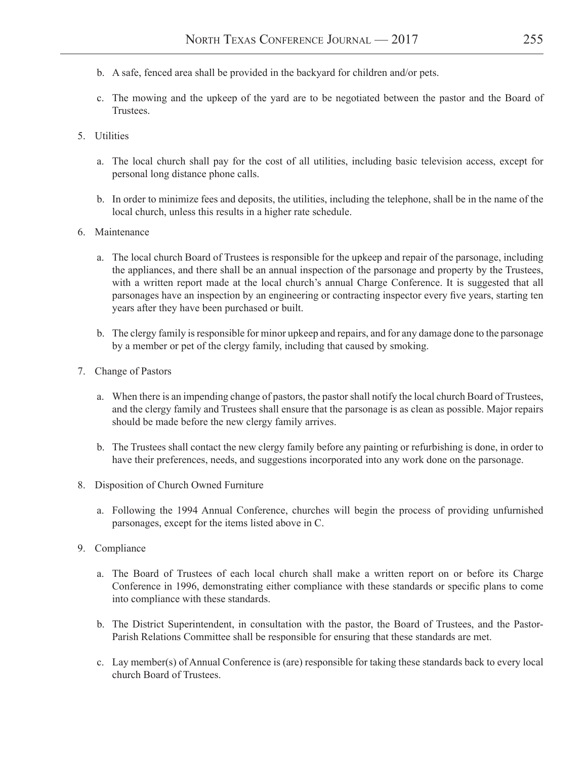- b. A safe, fenced area shall be provided in the backyard for children and/or pets.
- c. The mowing and the upkeep of the yard are to be negotiated between the pastor and the Board of Trustees.
- 5. Utilities
	- a. The local church shall pay for the cost of all utilities, including basic television access, except for personal long distance phone calls.
	- b. In order to minimize fees and deposits, the utilities, including the telephone, shall be in the name of the local church, unless this results in a higher rate schedule.
- 6. Maintenance
	- a. The local church Board of Trustees is responsible for the upkeep and repair of the parsonage, including the appliances, and there shall be an annual inspection of the parsonage and property by the Trustees, with a written report made at the local church's annual Charge Conference. It is suggested that all parsonages have an inspection by an engineering or contracting inspector every five years, starting ten years after they have been purchased or built.
	- b. The clergy family is responsible for minor upkeep and repairs, and for any damage done to the parsonage by a member or pet of the clergy family, including that caused by smoking.
- 7. Change of Pastors
	- a. When there is an impending change of pastors, the pastor shall notify the local church Board of Trustees, and the clergy family and Trustees shall ensure that the parsonage is as clean as possible. Major repairs should be made before the new clergy family arrives.
	- b. The Trustees shall contact the new clergy family before any painting or refurbishing is done, in order to have their preferences, needs, and suggestions incorporated into any work done on the parsonage.
- 8. Disposition of Church Owned Furniture
	- a. Following the 1994 Annual Conference, churches will begin the process of providing unfurnished parsonages, except for the items listed above in C.
- 9. Compliance
	- a. The Board of Trustees of each local church shall make a written report on or before its Charge Conference in 1996, demonstrating either compliance with these standards or specific plans to come into compliance with these standards.
	- b. The District Superintendent, in consultation with the pastor, the Board of Trustees, and the Pastor-Parish Relations Committee shall be responsible for ensuring that these standards are met.
	- c. Lay member(s) of Annual Conference is (are) responsible for taking these standards back to every local church Board of Trustees.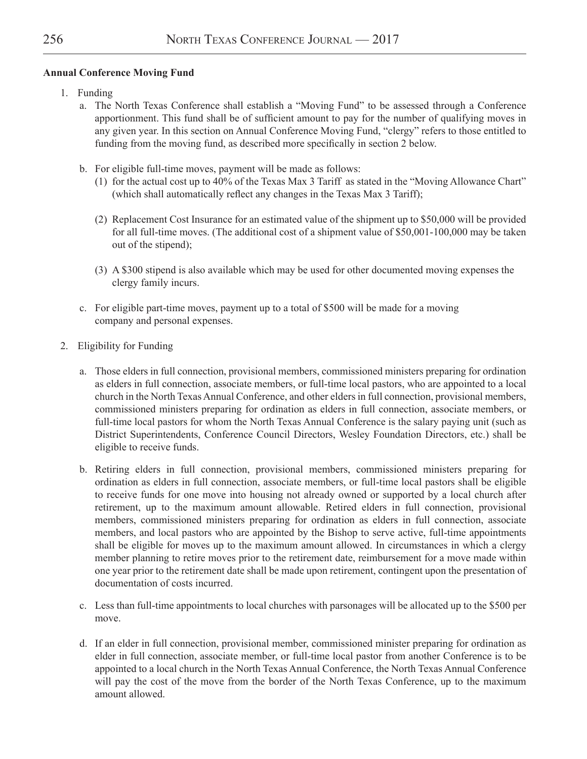### **Annual Conference Moving Fund**

- 1. Funding
	- a. The North Texas Conference shall establish a "Moving Fund" to be assessed through a Conference apportionment. This fund shall be of sufficient amount to pay for the number of qualifying moves in any given year. In this section on Annual Conference Moving Fund, "clergy" refers to those entitled to funding from the moving fund, as described more specifically in section 2 below.
	- b. For eligible full-time moves, payment will be made as follows:
		- (1) for the actual cost up to 40% of the Texas Max 3 Tariff as stated in the "Moving Allowance Chart" (which shall automatically reflect any changes in the Texas Max 3 Tariff);
		- (2) Replacement Cost Insurance for an estimated value of the shipment up to \$50,000 will be provided for all full-time moves. (The additional cost of a shipment value of \$50,001-100,000 may be taken out of the stipend);
		- (3) A \$300 stipend is also available which may be used for other documented moving expenses the clergy family incurs.
	- c. For eligible part-time moves, payment up to a total of \$500 will be made for a moving company and personal expenses.
- 2. Eligibility for Funding
	- a. Those elders in full connection, provisional members, commissioned ministers preparing for ordination as elders in full connection, associate members, or full-time local pastors, who are appointed to a local church in the North Texas Annual Conference, and other elders in full connection, provisional members, commissioned ministers preparing for ordination as elders in full connection, associate members, or full-time local pastors for whom the North Texas Annual Conference is the salary paying unit (such as District Superintendents, Conference Council Directors, Wesley Foundation Directors, etc.) shall be eligible to receive funds.
	- b. Retiring elders in full connection, provisional members, commissioned ministers preparing for ordination as elders in full connection, associate members, or full-time local pastors shall be eligible to receive funds for one move into housing not already owned or supported by a local church after retirement, up to the maximum amount allowable. Retired elders in full connection, provisional members, commissioned ministers preparing for ordination as elders in full connection, associate members, and local pastors who are appointed by the Bishop to serve active, full-time appointments shall be eligible for moves up to the maximum amount allowed. In circumstances in which a clergy member planning to retire moves prior to the retirement date, reimbursement for a move made within one year prior to the retirement date shall be made upon retirement, contingent upon the presentation of documentation of costs incurred.
	- c. Less than full-time appointments to local churches with parsonages will be allocated up to the \$500 per move.
	- d. If an elder in full connection, provisional member, commissioned minister preparing for ordination as elder in full connection, associate member, or full-time local pastor from another Conference is to be appointed to a local church in the North Texas Annual Conference, the North Texas Annual Conference will pay the cost of the move from the border of the North Texas Conference, up to the maximum amount allowed.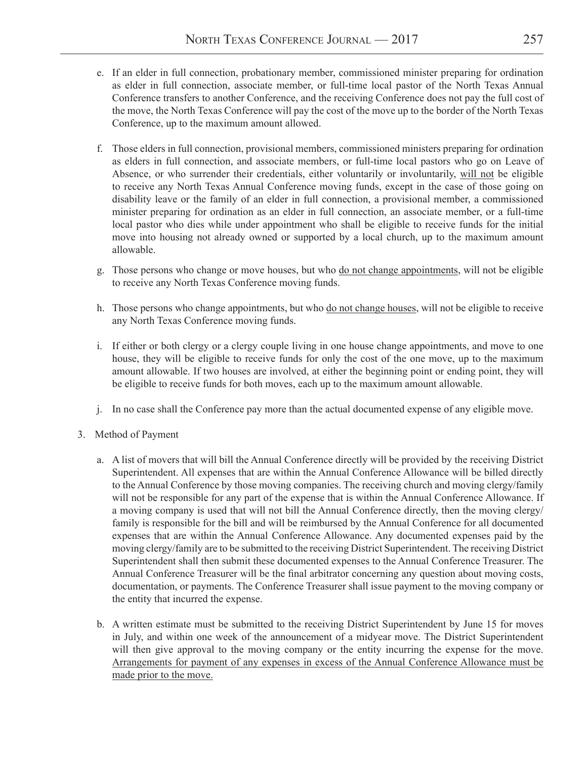- e. If an elder in full connection, probationary member, commissioned minister preparing for ordination as elder in full connection, associate member, or full-time local pastor of the North Texas Annual Conference transfers to another Conference, and the receiving Conference does not pay the full cost of the move, the North Texas Conference will pay the cost of the move up to the border of the North Texas Conference, up to the maximum amount allowed.
- f. Those elders in full connection, provisional members, commissioned ministers preparing for ordination as elders in full connection, and associate members, or full-time local pastors who go on Leave of Absence, or who surrender their credentials, either voluntarily or involuntarily, will not be eligible to receive any North Texas Annual Conference moving funds, except in the case of those going on disability leave or the family of an elder in full connection, a provisional member, a commissioned minister preparing for ordination as an elder in full connection, an associate member, or a full-time local pastor who dies while under appointment who shall be eligible to receive funds for the initial move into housing not already owned or supported by a local church, up to the maximum amount allowable.
- g. Those persons who change or move houses, but who do not change appointments, will not be eligible to receive any North Texas Conference moving funds.
- h. Those persons who change appointments, but who do not change houses, will not be eligible to receive any North Texas Conference moving funds.
- i. If either or both clergy or a clergy couple living in one house change appointments, and move to one house, they will be eligible to receive funds for only the cost of the one move, up to the maximum amount allowable. If two houses are involved, at either the beginning point or ending point, they will be eligible to receive funds for both moves, each up to the maximum amount allowable.
- j. In no case shall the Conference pay more than the actual documented expense of any eligible move.
- 3. Method of Payment
	- a. A list of movers that will bill the Annual Conference directly will be provided by the receiving District Superintendent. All expenses that are within the Annual Conference Allowance will be billed directly to the Annual Conference by those moving companies. The receiving church and moving clergy/family will not be responsible for any part of the expense that is within the Annual Conference Allowance. If a moving company is used that will not bill the Annual Conference directly, then the moving clergy/ family is responsible for the bill and will be reimbursed by the Annual Conference for all documented expenses that are within the Annual Conference Allowance. Any documented expenses paid by the moving clergy/family are to be submitted to the receiving District Superintendent. The receiving District Superintendent shall then submit these documented expenses to the Annual Conference Treasurer. The Annual Conference Treasurer will be the final arbitrator concerning any question about moving costs, documentation, or payments. The Conference Treasurer shall issue payment to the moving company or the entity that incurred the expense.
	- b. A written estimate must be submitted to the receiving District Superintendent by June 15 for moves in July, and within one week of the announcement of a midyear move. The District Superintendent will then give approval to the moving company or the entity incurring the expense for the move. Arrangements for payment of any expenses in excess of the Annual Conference Allowance must be made prior to the move.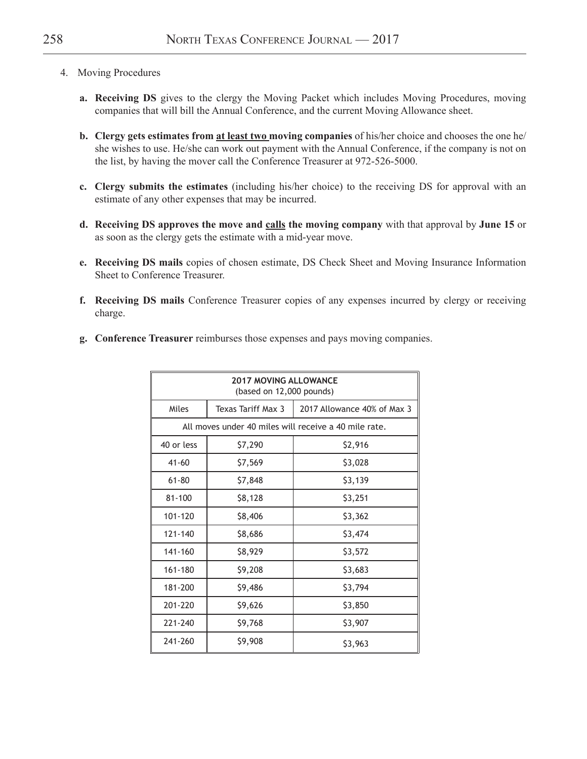- 4. Moving Procedures
	- **a. Receiving DS** gives to the clergy the Moving Packet which includes Moving Procedures, moving companies that will bill the Annual Conference, and the current Moving Allowance sheet.
	- **b. Clergy gets estimates from at least two moving companies** of his/her choice and chooses the one he/ she wishes to use. He/she can work out payment with the Annual Conference, if the company is not on the list, by having the mover call the Conference Treasurer at 972-526-5000.
	- **c. Clergy submits the estimates** (including his/her choice) to the receiving DS for approval with an estimate of any other expenses that may be incurred.
	- **d. Receiving DS approves the move and calls the moving company** with that approval by **June 15** or as soon as the clergy gets the estimate with a mid-year move.
	- **e. Receiving DS mails** copies of chosen estimate, DS Check Sheet and Moving Insurance Information Sheet to Conference Treasurer.
	- **f. Receiving DS mails** Conference Treasurer copies of any expenses incurred by clergy or receiving charge.
	- **g. Conference Treasurer** reimburses those expenses and pays moving companies.

| <b>2017 MOVING ALLOWANCE</b><br>(based on 12,000 pounds)   |         |         |  |  |  |  |  |  |
|------------------------------------------------------------|---------|---------|--|--|--|--|--|--|
| 2017 Allowance 40% of Max 3<br>Miles<br>Texas Tariff Max 3 |         |         |  |  |  |  |  |  |
| All moves under 40 miles will receive a 40 mile rate.      |         |         |  |  |  |  |  |  |
| 40 or less                                                 | \$7,290 | \$2,916 |  |  |  |  |  |  |
| $41 - 60$                                                  | \$7,569 | \$3,028 |  |  |  |  |  |  |
| $61 - 80$                                                  | \$7,848 | \$3,139 |  |  |  |  |  |  |
| 81-100                                                     | \$8,128 | \$3,251 |  |  |  |  |  |  |
| 101-120                                                    | \$8,406 | \$3,362 |  |  |  |  |  |  |
| 121-140                                                    | \$8,686 | \$3,474 |  |  |  |  |  |  |
| 141-160                                                    | \$8,929 | \$3,572 |  |  |  |  |  |  |
| 161-180                                                    | \$9,208 | \$3,683 |  |  |  |  |  |  |
| 181-200                                                    | \$9,486 | \$3,794 |  |  |  |  |  |  |
| 201-220                                                    | \$9,626 | \$3,850 |  |  |  |  |  |  |
| 221-240                                                    | \$9,768 | \$3,907 |  |  |  |  |  |  |
| 241-260                                                    | \$9,908 | \$3,963 |  |  |  |  |  |  |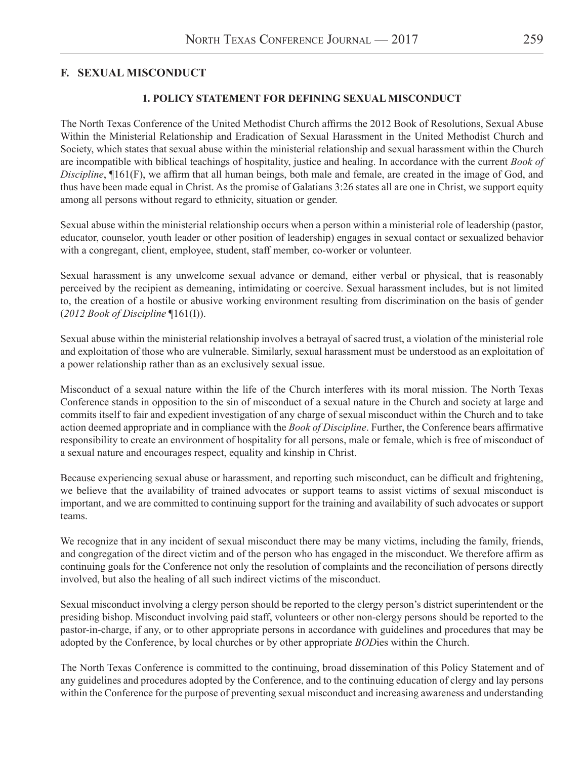#### **1. POLICY STATEMENT FOR DEFINING SEXUAL MISCONDUCT**

The North Texas Conference of the United Methodist Church affirms the 2012 Book of Resolutions, Sexual Abuse Within the Ministerial Relationship and Eradication of Sexual Harassment in the United Methodist Church and Society, which states that sexual abuse within the ministerial relationship and sexual harassment within the Church are incompatible with biblical teachings of hospitality, justice and healing. In accordance with the current *Book of Discipline*, ¶161(F), we affirm that all human beings, both male and female, are created in the image of God, and thus have been made equal in Christ. As the promise of Galatians 3:26 states all are one in Christ, we support equity among all persons without regard to ethnicity, situation or gender.

Sexual abuse within the ministerial relationship occurs when a person within a ministerial role of leadership (pastor, educator, counselor, youth leader or other position of leadership) engages in sexual contact or sexualized behavior with a congregant, client, employee, student, staff member, co-worker or volunteer.

Sexual harassment is any unwelcome sexual advance or demand, either verbal or physical, that is reasonably perceived by the recipient as demeaning, intimidating or coercive. Sexual harassment includes, but is not limited to, the creation of a hostile or abusive working environment resulting from discrimination on the basis of gender (*2012 Book of Discipline* ¶161(I)).

Sexual abuse within the ministerial relationship involves a betrayal of sacred trust, a violation of the ministerial role and exploitation of those who are vulnerable. Similarly, sexual harassment must be understood as an exploitation of a power relationship rather than as an exclusively sexual issue.

Misconduct of a sexual nature within the life of the Church interferes with its moral mission. The North Texas Conference stands in opposition to the sin of misconduct of a sexual nature in the Church and society at large and commits itself to fair and expedient investigation of any charge of sexual misconduct within the Church and to take action deemed appropriate and in compliance with the *Book of Discipline*. Further, the Conference bears affirmative responsibility to create an environment of hospitality for all persons, male or female, which is free of misconduct of a sexual nature and encourages respect, equality and kinship in Christ.

Because experiencing sexual abuse or harassment, and reporting such misconduct, can be difficult and frightening, we believe that the availability of trained advocates or support teams to assist victims of sexual misconduct is important, and we are committed to continuing support for the training and availability of such advocates or support teams.

We recognize that in any incident of sexual misconduct there may be many victims, including the family, friends, and congregation of the direct victim and of the person who has engaged in the misconduct. We therefore affirm as continuing goals for the Conference not only the resolution of complaints and the reconciliation of persons directly involved, but also the healing of all such indirect victims of the misconduct.

Sexual misconduct involving a clergy person should be reported to the clergy person's district superintendent or the presiding bishop. Misconduct involving paid staff, volunteers or other non-clergy persons should be reported to the pastor-in-charge, if any, or to other appropriate persons in accordance with guidelines and procedures that may be adopted by the Conference, by local churches or by other appropriate *BOD*ies within the Church.

The North Texas Conference is committed to the continuing, broad dissemination of this Policy Statement and of any guidelines and procedures adopted by the Conference, and to the continuing education of clergy and lay persons within the Conference for the purpose of preventing sexual misconduct and increasing awareness and understanding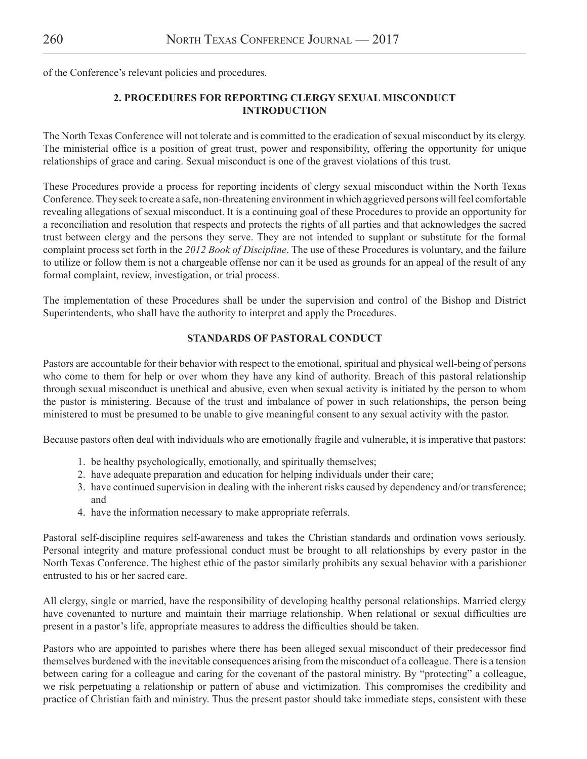of the Conference's relevant policies and procedures.

## **2. PROCEDURES FOR REPORTING CLERGY SEXUAL MISCONDUCT INTRODUCTION**

The North Texas Conference will not tolerate and is committed to the eradication of sexual misconduct by its clergy. The ministerial office is a position of great trust, power and responsibility, offering the opportunity for unique relationships of grace and caring. Sexual misconduct is one of the gravest violations of this trust.

These Procedures provide a process for reporting incidents of clergy sexual misconduct within the North Texas Conference. They seek to create a safe, non-threatening environment in which aggrieved persons will feel comfortable revealing allegations of sexual misconduct. It is a continuing goal of these Procedures to provide an opportunity for a reconciliation and resolution that respects and protects the rights of all parties and that acknowledges the sacred trust between clergy and the persons they serve. They are not intended to supplant or substitute for the formal complaint process set forth in the *2012 Book of Discipline*. The use of these Procedures is voluntary, and the failure to utilize or follow them is not a chargeable offense nor can it be used as grounds for an appeal of the result of any formal complaint, review, investigation, or trial process.

The implementation of these Procedures shall be under the supervision and control of the Bishop and District Superintendents, who shall have the authority to interpret and apply the Procedures.

#### **STANDARDS OF PASTORAL CONDUCT**

Pastors are accountable for their behavior with respect to the emotional, spiritual and physical well-being of persons who come to them for help or over whom they have any kind of authority. Breach of this pastoral relationship through sexual misconduct is unethical and abusive, even when sexual activity is initiated by the person to whom the pastor is ministering. Because of the trust and imbalance of power in such relationships, the person being ministered to must be presumed to be unable to give meaningful consent to any sexual activity with the pastor.

Because pastors often deal with individuals who are emotionally fragile and vulnerable, it is imperative that pastors:

- 1. be healthy psychologically, emotionally, and spiritually themselves;
- 2. have adequate preparation and education for helping individuals under their care;
- 3. have continued supervision in dealing with the inherent risks caused by dependency and/or transference; and
- 4. have the information necessary to make appropriate referrals.

Pastoral self-discipline requires self-awareness and takes the Christian standards and ordination vows seriously. Personal integrity and mature professional conduct must be brought to all relationships by every pastor in the North Texas Conference. The highest ethic of the pastor similarly prohibits any sexual behavior with a parishioner entrusted to his or her sacred care.

All clergy, single or married, have the responsibility of developing healthy personal relationships. Married clergy have covenanted to nurture and maintain their marriage relationship. When relational or sexual difficulties are present in a pastor's life, appropriate measures to address the difficulties should be taken.

Pastors who are appointed to parishes where there has been alleged sexual misconduct of their predecessor find themselves burdened with the inevitable consequences arising from the misconduct of a colleague. There is a tension between caring for a colleague and caring for the covenant of the pastoral ministry. By "protecting" a colleague, we risk perpetuating a relationship or pattern of abuse and victimization. This compromises the credibility and practice of Christian faith and ministry. Thus the present pastor should take immediate steps, consistent with these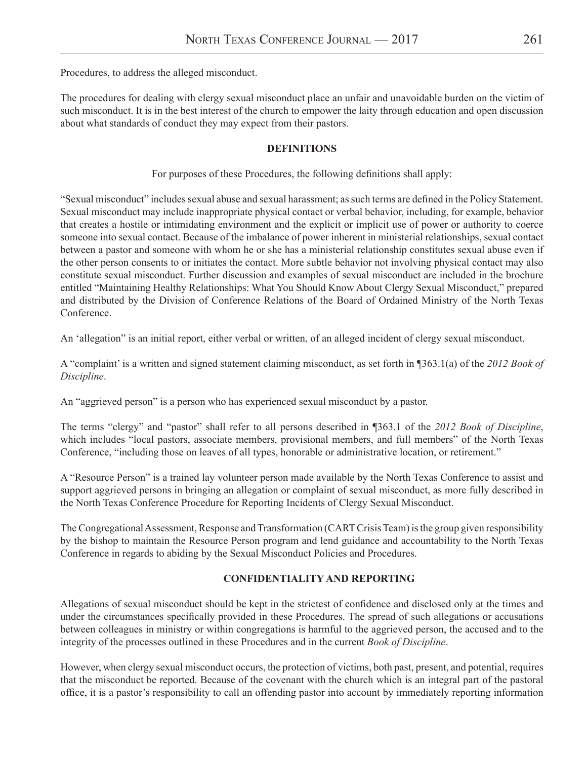Procedures, to address the alleged misconduct.

The procedures for dealing with clergy sexual misconduct place an unfair and unavoidable burden on the victim of such misconduct. It is in the best interest of the church to empower the laity through education and open discussion about what standards of conduct they may expect from their pastors.

#### **DEFINITIONS**

For purposes of these Procedures, the following definitions shall apply:

"Sexual misconduct" includes sexual abuse and sexual harassment; as such terms are defined in the Policy Statement. Sexual misconduct may include inappropriate physical contact or verbal behavior, including, for example, behavior that creates a hostile or intimidating environment and the explicit or implicit use of power or authority to coerce someone into sexual contact. Because of the imbalance of power inherent in ministerial relationships, sexual contact between a pastor and someone with whom he or she has a ministerial relationship constitutes sexual abuse even if the other person consents to or initiates the contact. More subtle behavior not involving physical contact may also constitute sexual misconduct. Further discussion and examples of sexual misconduct are included in the brochure entitled "Maintaining Healthy Relationships: What You Should Know About Clergy Sexual Misconduct," prepared and distributed by the Division of Conference Relations of the Board of Ordained Ministry of the North Texas Conference.

An 'allegation" is an initial report, either verbal or written, of an alleged incident of clergy sexual misconduct.

A "complaint' is a written and signed statement claiming misconduct, as set forth in ¶363.1(a) of the *2012 Book of Discipline*.

An "aggrieved person" is a person who has experienced sexual misconduct by a pastor.

The terms "clergy" and "pastor" shall refer to all persons described in ¶363.1 of the *2012 Book of Discipline*, which includes "local pastors, associate members, provisional members, and full members" of the North Texas Conference, "including those on leaves of all types, honorable or administrative location, or retirement."

A "Resource Person" is a trained lay volunteer person made available by the North Texas Conference to assist and support aggrieved persons in bringing an allegation or complaint of sexual misconduct, as more fully described in the North Texas Conference Procedure for Reporting Incidents of Clergy Sexual Misconduct.

The Congregational Assessment, Response and Transformation (CART Crisis Team) is the group given responsibility by the bishop to maintain the Resource Person program and lend guidance and accountability to the North Texas Conference in regards to abiding by the Sexual Misconduct Policies and Procedures.

#### **CONFIDENTIALITY AND REPORTING**

Allegations of sexual misconduct should be kept in the strictest of confidence and disclosed only at the times and under the circumstances specifically provided in these Procedures. The spread of such allegations or accusations between colleagues in ministry or within congregations is harmful to the aggrieved person, the accused and to the integrity of the processes outlined in these Procedures and in the current *Book of Discipline*.

However, when clergy sexual misconduct occurs, the protection of victims, both past, present, and potential, requires that the misconduct be reported. Because of the covenant with the church which is an integral part of the pastoral office, it is a pastor's responsibility to call an offending pastor into account by immediately reporting information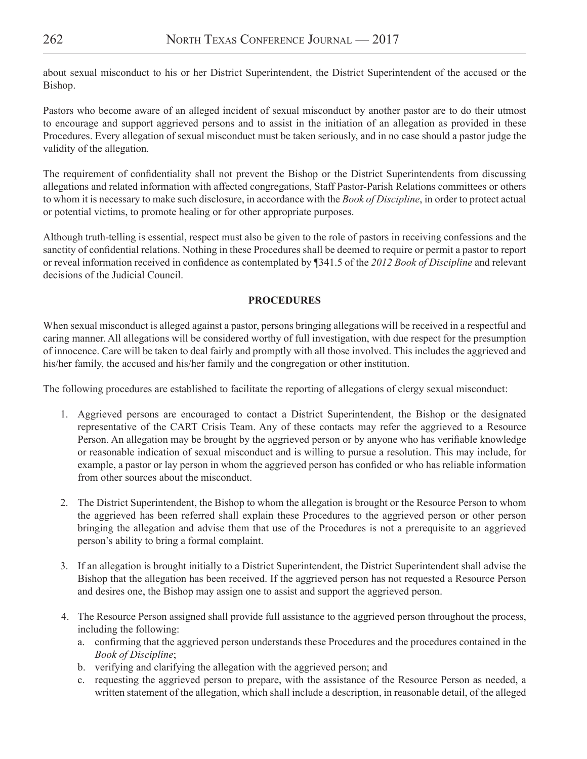about sexual misconduct to his or her District Superintendent, the District Superintendent of the accused or the Bishop.

Pastors who become aware of an alleged incident of sexual misconduct by another pastor are to do their utmost to encourage and support aggrieved persons and to assist in the initiation of an allegation as provided in these Procedures. Every allegation of sexual misconduct must be taken seriously, and in no case should a pastor judge the validity of the allegation.

The requirement of confidentiality shall not prevent the Bishop or the District Superintendents from discussing allegations and related information with affected congregations, Staff Pastor-Parish Relations committees or others to whom it is necessary to make such disclosure, in accordance with the *Book of Discipline*, in order to protect actual or potential victims, to promote healing or for other appropriate purposes.

Although truth-telling is essential, respect must also be given to the role of pastors in receiving confessions and the sanctity of confidential relations. Nothing in these Procedures shall be deemed to require or permit a pastor to report or reveal information received in confidence as contemplated by ¶341.5 of the *2012 Book of Discipline* and relevant decisions of the Judicial Council.

#### **PROCEDURES**

When sexual misconduct is alleged against a pastor, persons bringing allegations will be received in a respectful and caring manner. All allegations will be considered worthy of full investigation, with due respect for the presumption of innocence. Care will be taken to deal fairly and promptly with all those involved. This includes the aggrieved and his/her family, the accused and his/her family and the congregation or other institution.

The following procedures are established to facilitate the reporting of allegations of clergy sexual misconduct:

- 1. Aggrieved persons are encouraged to contact a District Superintendent, the Bishop or the designated representative of the CART Crisis Team. Any of these contacts may refer the aggrieved to a Resource Person. An allegation may be brought by the aggrieved person or by anyone who has verifiable knowledge or reasonable indication of sexual misconduct and is willing to pursue a resolution. This may include, for example, a pastor or lay person in whom the aggrieved person has confided or who has reliable information from other sources about the misconduct.
- 2. The District Superintendent, the Bishop to whom the allegation is brought or the Resource Person to whom the aggrieved has been referred shall explain these Procedures to the aggrieved person or other person bringing the allegation and advise them that use of the Procedures is not a prerequisite to an aggrieved person's ability to bring a formal complaint.
- 3. If an allegation is brought initially to a District Superintendent, the District Superintendent shall advise the Bishop that the allegation has been received. If the aggrieved person has not requested a Resource Person and desires one, the Bishop may assign one to assist and support the aggrieved person.
- 4. The Resource Person assigned shall provide full assistance to the aggrieved person throughout the process, including the following:
	- a. confirming that the aggrieved person understands these Procedures and the procedures contained in the *Book of Discipline*;
	- b. verifying and clarifying the allegation with the aggrieved person; and
	- c. requesting the aggrieved person to prepare, with the assistance of the Resource Person as needed, a written statement of the allegation, which shall include a description, in reasonable detail, of the alleged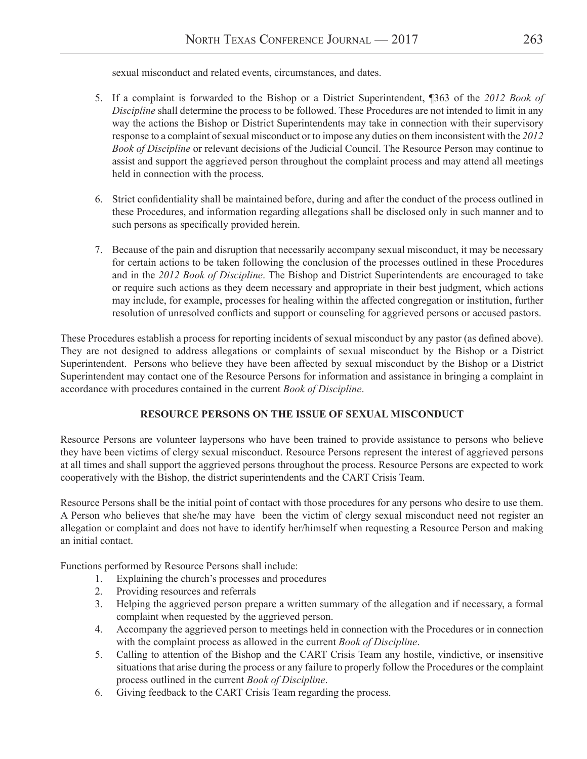sexual misconduct and related events, circumstances, and dates.

- 5. If a complaint is forwarded to the Bishop or a District Superintendent, ¶363 of the *2012 Book of Discipline* shall determine the process to be followed. These Procedures are not intended to limit in any way the actions the Bishop or District Superintendents may take in connection with their supervisory response to a complaint of sexual misconduct or to impose any duties on them inconsistent with the *2012 Book of Discipline* or relevant decisions of the Judicial Council. The Resource Person may continue to assist and support the aggrieved person throughout the complaint process and may attend all meetings held in connection with the process.
- 6. Strict confidentiality shall be maintained before, during and after the conduct of the process outlined in these Procedures, and information regarding allegations shall be disclosed only in such manner and to such persons as specifically provided herein.
- 7. Because of the pain and disruption that necessarily accompany sexual misconduct, it may be necessary for certain actions to be taken following the conclusion of the processes outlined in these Procedures and in the *2012 Book of Discipline*. The Bishop and District Superintendents are encouraged to take or require such actions as they deem necessary and appropriate in their best judgment, which actions may include, for example, processes for healing within the affected congregation or institution, further resolution of unresolved conflicts and support or counseling for aggrieved persons or accused pastors.

These Procedures establish a process for reporting incidents of sexual misconduct by any pastor (as defined above). They are not designed to address allegations or complaints of sexual misconduct by the Bishop or a District Superintendent. Persons who believe they have been affected by sexual misconduct by the Bishop or a District Superintendent may contact one of the Resource Persons for information and assistance in bringing a complaint in accordance with procedures contained in the current *Book of Discipline*.

## **RESOURCE PERSONS ON THE ISSUE OF SEXUAL MISCONDUCT**

Resource Persons are volunteer laypersons who have been trained to provide assistance to persons who believe they have been victims of clergy sexual misconduct. Resource Persons represent the interest of aggrieved persons at all times and shall support the aggrieved persons throughout the process. Resource Persons are expected to work cooperatively with the Bishop, the district superintendents and the CART Crisis Team.

Resource Persons shall be the initial point of contact with those procedures for any persons who desire to use them. A Person who believes that she/he may have been the victim of clergy sexual misconduct need not register an allegation or complaint and does not have to identify her/himself when requesting a Resource Person and making an initial contact.

Functions performed by Resource Persons shall include:

- 1. Explaining the church's processes and procedures
- 2. Providing resources and referrals
- 3. Helping the aggrieved person prepare a written summary of the allegation and if necessary, a formal complaint when requested by the aggrieved person.
- 4. Accompany the aggrieved person to meetings held in connection with the Procedures or in connection with the complaint process as allowed in the current *Book of Discipline*.
- 5. Calling to attention of the Bishop and the CART Crisis Team any hostile, vindictive, or insensitive situations that arise during the process or any failure to properly follow the Procedures or the complaint process outlined in the current *Book of Discipline*.
- 6. Giving feedback to the CART Crisis Team regarding the process.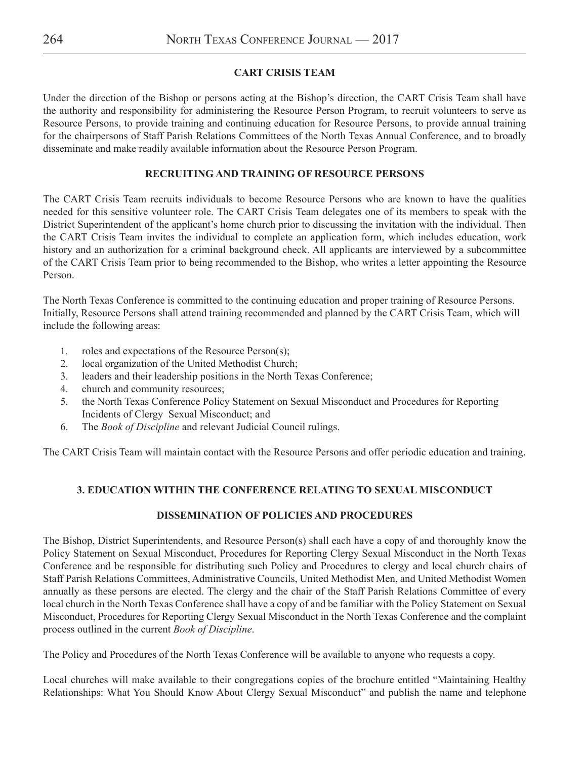## **CART CRISIS TEAM**

Under the direction of the Bishop or persons acting at the Bishop's direction, the CART Crisis Team shall have the authority and responsibility for administering the Resource Person Program, to recruit volunteers to serve as Resource Persons, to provide training and continuing education for Resource Persons, to provide annual training for the chairpersons of Staff Parish Relations Committees of the North Texas Annual Conference, and to broadly disseminate and make readily available information about the Resource Person Program.

## **RECRUITING AND TRAINING OF RESOURCE PERSONS**

The CART Crisis Team recruits individuals to become Resource Persons who are known to have the qualities needed for this sensitive volunteer role. The CART Crisis Team delegates one of its members to speak with the District Superintendent of the applicant's home church prior to discussing the invitation with the individual. Then the CART Crisis Team invites the individual to complete an application form, which includes education, work history and an authorization for a criminal background check. All applicants are interviewed by a subcommittee of the CART Crisis Team prior to being recommended to the Bishop, who writes a letter appointing the Resource Person.

The North Texas Conference is committed to the continuing education and proper training of Resource Persons. Initially, Resource Persons shall attend training recommended and planned by the CART Crisis Team, which will include the following areas:

- 1. roles and expectations of the Resource Person(s);
- 2. local organization of the United Methodist Church;
- 3. leaders and their leadership positions in the North Texas Conference;
- 4. church and community resources;
- 5. the North Texas Conference Policy Statement on Sexual Misconduct and Procedures for Reporting Incidents of Clergy Sexual Misconduct; and
- 6. The *Book of Discipline* and relevant Judicial Council rulings.

The CART Crisis Team will maintain contact with the Resource Persons and offer periodic education and training.

## **3. EDUCATION WITHIN THE CONFERENCE RELATING TO SEXUAL MISCONDUCT**

## **DISSEMINATION OF POLICIES AND PROCEDURES**

The Bishop, District Superintendents, and Resource Person(s) shall each have a copy of and thoroughly know the Policy Statement on Sexual Misconduct, Procedures for Reporting Clergy Sexual Misconduct in the North Texas Conference and be responsible for distributing such Policy and Procedures to clergy and local church chairs of Staff Parish Relations Committees, Administrative Councils, United Methodist Men, and United Methodist Women annually as these persons are elected. The clergy and the chair of the Staff Parish Relations Committee of every local church in the North Texas Conference shall have a copy of and be familiar with the Policy Statement on Sexual Misconduct, Procedures for Reporting Clergy Sexual Misconduct in the North Texas Conference and the complaint process outlined in the current *Book of Discipline*.

The Policy and Procedures of the North Texas Conference will be available to anyone who requests a copy.

Local churches will make available to their congregations copies of the brochure entitled "Maintaining Healthy Relationships: What You Should Know About Clergy Sexual Misconduct" and publish the name and telephone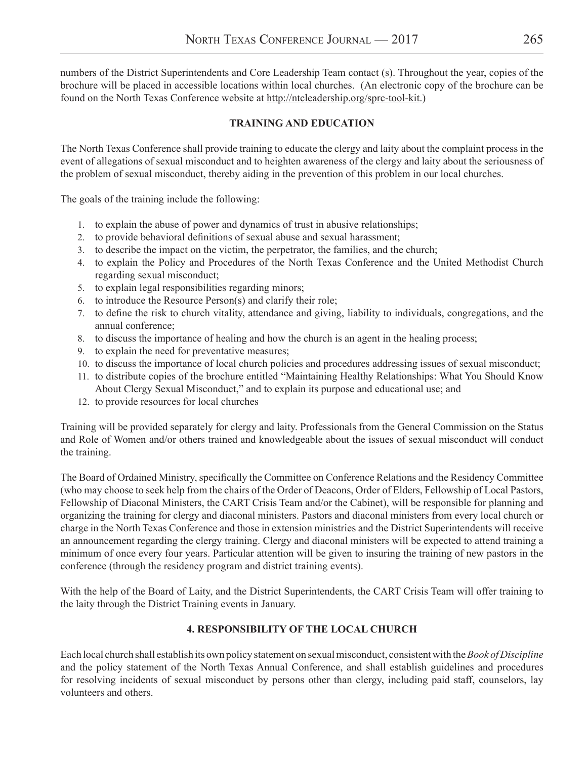numbers of the District Superintendents and Core Leadership Team contact (s). Throughout the year, copies of the brochure will be placed in accessible locations within local churches. (An electronic copy of the brochure can be found on the North Texas Conference website at http://ntcleadership.org/sprc-tool-kit.)

### **TRAINING AND EDUCATION**

The North Texas Conference shall provide training to educate the clergy and laity about the complaint process in the event of allegations of sexual misconduct and to heighten awareness of the clergy and laity about the seriousness of the problem of sexual misconduct, thereby aiding in the prevention of this problem in our local churches.

The goals of the training include the following:

- 1. to explain the abuse of power and dynamics of trust in abusive relationships;
- 2. to provide behavioral definitions of sexual abuse and sexual harassment;
- 3. to describe the impact on the victim, the perpetrator, the families, and the church;
- 4. to explain the Policy and Procedures of the North Texas Conference and the United Methodist Church regarding sexual misconduct;
- 5. to explain legal responsibilities regarding minors;
- to introduce the Resource Person(s) and clarify their role;
- 7. to define the risk to church vitality, attendance and giving, liability to individuals, congregations, and the annual conference;
- 8. to discuss the importance of healing and how the church is an agent in the healing process;
- 9. to explain the need for preventative measures;
- 10. to discuss the importance of local church policies and procedures addressing issues of sexual misconduct;
- 11. to distribute copies of the brochure entitled "Maintaining Healthy Relationships: What You Should Know About Clergy Sexual Misconduct," and to explain its purpose and educational use; and
- 12. to provide resources for local churches

Training will be provided separately for clergy and laity. Professionals from the General Commission on the Status and Role of Women and/or others trained and knowledgeable about the issues of sexual misconduct will conduct the training.

The Board of Ordained Ministry, specifically the Committee on Conference Relations and the Residency Committee (who may choose to seek help from the chairs of the Order of Deacons, Order of Elders, Fellowship of Local Pastors, Fellowship of Diaconal Ministers, the CART Crisis Team and/or the Cabinet), will be responsible for planning and organizing the training for clergy and diaconal ministers. Pastors and diaconal ministers from every local church or charge in the North Texas Conference and those in extension ministries and the District Superintendents will receive an announcement regarding the clergy training. Clergy and diaconal ministers will be expected to attend training a minimum of once every four years. Particular attention will be given to insuring the training of new pastors in the conference (through the residency program and district training events).

With the help of the Board of Laity, and the District Superintendents, the CART Crisis Team will offer training to the laity through the District Training events in January.

#### **4. RESPONSIBILITY OF THE LOCAL CHURCH**

Each local church shall establish its own policy statement on sexual misconduct, consistent with the *Book of Discipline* and the policy statement of the North Texas Annual Conference, and shall establish guidelines and procedures for resolving incidents of sexual misconduct by persons other than clergy, including paid staff, counselors, lay volunteers and others.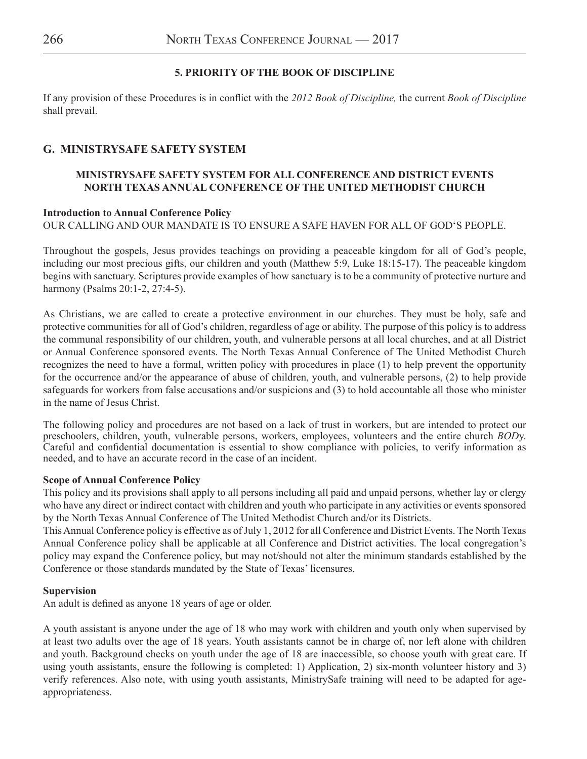#### **5. PRIORITY OF THE BOOK OF DISCIPLINE**

If any provision of these Procedures is in conflict with the *2012 Book of Discipline,* the current *Book of Discipline* shall prevail.

## **G. MINISTRYSAFE SAFETY SYSTEM**

### **MINISTRYSAFE SAFETY SYSTEM FOR ALL CONFERENCE AND DISTRICT EVENTS NORTH TEXAS ANNUAL CONFERENCE OF THE UNITED METHODIST CHURCH**

#### **Introduction to Annual Conference Policy**

OUR CALLING AND OUR MANDATE IS TO ENSURE A SAFE HAVEN FOR ALL OF GOD'S PEOPLE.

Throughout the gospels, Jesus provides teachings on providing a peaceable kingdom for all of God's people, including our most precious gifts, our children and youth (Matthew 5:9, Luke 18:15-17). The peaceable kingdom begins with sanctuary. Scriptures provide examples of how sanctuary is to be a community of protective nurture and harmony (Psalms 20:1-2, 27:4-5).

As Christians, we are called to create a protective environment in our churches. They must be holy, safe and protective communities for all of God's children, regardless of age or ability. The purpose of this policy is to address the communal responsibility of our children, youth, and vulnerable persons at all local churches, and at all District or Annual Conference sponsored events. The North Texas Annual Conference of The United Methodist Church recognizes the need to have a formal, written policy with procedures in place (1) to help prevent the opportunity for the occurrence and/or the appearance of abuse of children, youth, and vulnerable persons, (2) to help provide safeguards for workers from false accusations and/or suspicions and (3) to hold accountable all those who minister in the name of Jesus Christ.

The following policy and procedures are not based on a lack of trust in workers, but are intended to protect our preschoolers, children, youth, vulnerable persons, workers, employees, volunteers and the entire church *BOD*y. Careful and confidential documentation is essential to show compliance with policies, to verify information as needed, and to have an accurate record in the case of an incident.

#### **Scope of Annual Conference Policy**

This policy and its provisions shall apply to all persons including all paid and unpaid persons, whether lay or clergy who have any direct or indirect contact with children and youth who participate in any activities or events sponsored by the North Texas Annual Conference of The United Methodist Church and/or its Districts.

This Annual Conference policy is effective as of July 1, 2012 for all Conference and District Events. The North Texas Annual Conference policy shall be applicable at all Conference and District activities. The local congregation's policy may expand the Conference policy, but may not/should not alter the minimum standards established by the Conference or those standards mandated by the State of Texas' licensures.

#### **Supervision**

An adult is defined as anyone 18 years of age or older.

A youth assistant is anyone under the age of 18 who may work with children and youth only when supervised by at least two adults over the age of 18 years. Youth assistants cannot be in charge of, nor left alone with children and youth. Background checks on youth under the age of 18 are inaccessible, so choose youth with great care. If using youth assistants, ensure the following is completed: 1) Application, 2) six-month volunteer history and 3) verify references. Also note, with using youth assistants, MinistrySafe training will need to be adapted for ageappropriateness.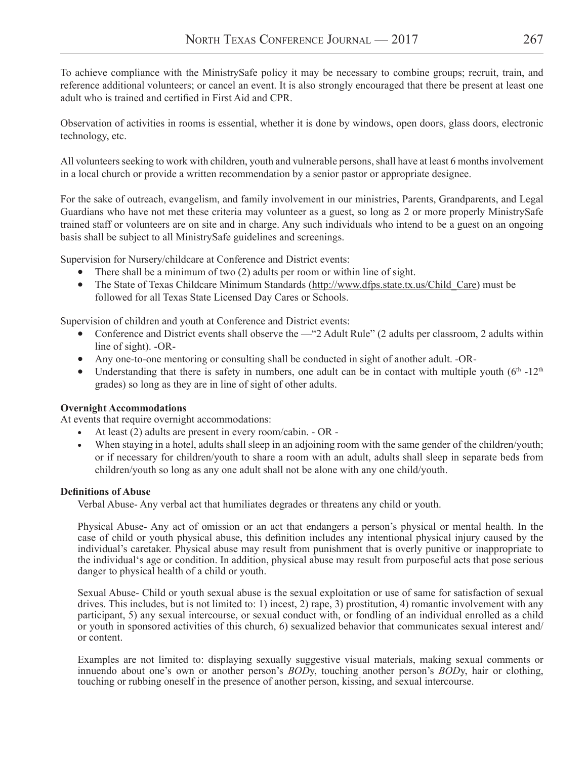To achieve compliance with the MinistrySafe policy it may be necessary to combine groups; recruit, train, and reference additional volunteers; or cancel an event. It is also strongly encouraged that there be present at least one adult who is trained and certified in First Aid and CPR.

Observation of activities in rooms is essential, whether it is done by windows, open doors, glass doors, electronic technology, etc.

All volunteers seeking to work with children, youth and vulnerable persons, shall have at least 6 months involvement in a local church or provide a written recommendation by a senior pastor or appropriate designee.

For the sake of outreach, evangelism, and family involvement in our ministries, Parents, Grandparents, and Legal Guardians who have not met these criteria may volunteer as a guest, so long as 2 or more properly MinistrySafe trained staff or volunteers are on site and in charge. Any such individuals who intend to be a guest on an ongoing basis shall be subject to all MinistrySafe guidelines and screenings.

Supervision for Nursery/childcare at Conference and District events:

- There shall be a minimum of two (2) adults per room or within line of sight.
- The State of Texas Childcare Minimum Standards (http://www.dfps.state.tx.us/Child\_Care) must be followed for all Texas State Licensed Day Cares or Schools.

Supervision of children and youth at Conference and District events:

- Conference and District events shall observe the —"2 Adult Rule" (2 adults per classroom, 2 adults within line of sight). -OR-
- Any one-to-one mentoring or consulting shall be conducted in sight of another adult. -OR-
- Understanding that there is safety in numbers, one adult can be in contact with multiple youth  $(6<sup>th</sup> -12<sup>th</sup>)$ grades) so long as they are in line of sight of other adults.

#### **Overnight Accommodations**

At events that require overnight accommodations:

- At least  $(2)$  adults are present in every room/cabin. OR -
- When staying in a hotel, adults shall sleep in an adjoining room with the same gender of the children/youth; or if necessary for children/youth to share a room with an adult, adults shall sleep in separate beds from children/youth so long as any one adult shall not be alone with any one child/youth.

#### **Definitions of Abuse**

Verbal Abuse- Any verbal act that humiliates degrades or threatens any child or youth.

Physical Abuse- Any act of omission or an act that endangers a person's physical or mental health. In the case of child or youth physical abuse, this definition includes any intentional physical injury caused by the individual's caretaker. Physical abuse may result from punishment that is overly punitive or inappropriate to the individual's age or condition. In addition, physical abuse may result from purposeful acts that pose serious danger to physical health of a child or youth.

Sexual Abuse- Child or youth sexual abuse is the sexual exploitation or use of same for satisfaction of sexual drives. This includes, but is not limited to: 1) incest, 2) rape, 3) prostitution, 4) romantic involvement with any participant, 5) any sexual intercourse, or sexual conduct with, or fondling of an individual enrolled as a child or youth in sponsored activities of this church, 6) sexualized behavior that communicates sexual interest and/ or content.

Examples are not limited to: displaying sexually suggestive visual materials, making sexual comments or innuendo about one's own or another person's *BOD*y, touching another person's *BOD*y, hair or clothing, touching or rubbing oneself in the presence of another person, kissing, and sexual intercourse.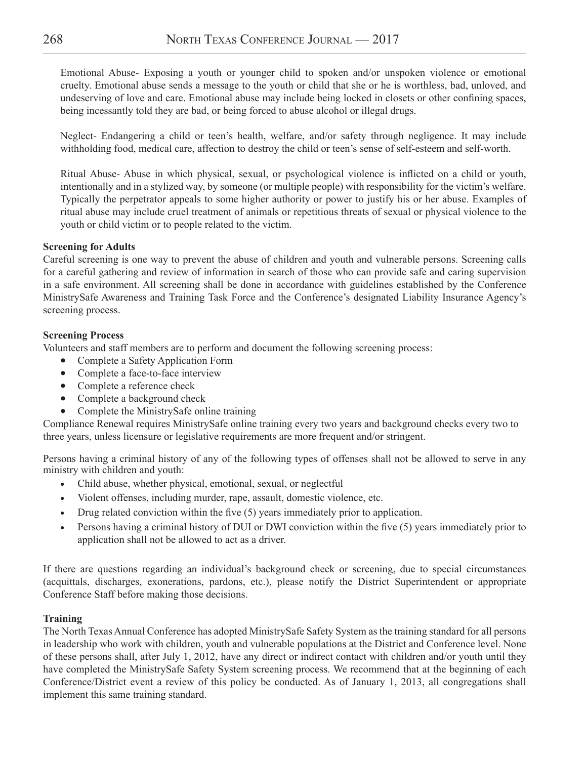Emotional Abuse- Exposing a youth or younger child to spoken and/or unspoken violence or emotional cruelty. Emotional abuse sends a message to the youth or child that she or he is worthless, bad, unloved, and undeserving of love and care. Emotional abuse may include being locked in closets or other confining spaces, being incessantly told they are bad, or being forced to abuse alcohol or illegal drugs.

Neglect- Endangering a child or teen's health, welfare, and/or safety through negligence. It may include withholding food, medical care, affection to destroy the child or teen's sense of self-esteem and self-worth.

Ritual Abuse- Abuse in which physical, sexual, or psychological violence is inflicted on a child or youth, intentionally and in a stylized way, by someone (or multiple people) with responsibility for the victim's welfare. Typically the perpetrator appeals to some higher authority or power to justify his or her abuse. Examples of ritual abuse may include cruel treatment of animals or repetitious threats of sexual or physical violence to the youth or child victim or to people related to the victim.

#### **Screening for Adults**

Careful screening is one way to prevent the abuse of children and youth and vulnerable persons. Screening calls for a careful gathering and review of information in search of those who can provide safe and caring supervision in a safe environment. All screening shall be done in accordance with guidelines established by the Conference MinistrySafe Awareness and Training Task Force and the Conference's designated Liability Insurance Agency's screening process.

#### **Screening Process**

Volunteers and staff members are to perform and document the following screening process:

- Complete a Safety Application Form
- Complete a face-to-face interview
- Complete a reference check
- Complete a background check
- Complete the MinistrySafe online training

Compliance Renewal requires MinistrySafe online training every two years and background checks every two to three years, unless licensure or legislative requirements are more frequent and/or stringent.

Persons having a criminal history of any of the following types of offenses shall not be allowed to serve in any ministry with children and youth:

- Child abuse, whether physical, emotional, sexual, or neglectful
- Violent offenses, including murder, rape, assault, domestic violence, etc.
- Drug related conviction within the five (5) years immediately prior to application.
- Persons having a criminal history of DUI or DWI conviction within the five (5) years immediately prior to application shall not be allowed to act as a driver.

If there are questions regarding an individual's background check or screening, due to special circumstances (acquittals, discharges, exonerations, pardons, etc.), please notify the District Superintendent or appropriate Conference Staff before making those decisions.

#### **Training**

The North Texas Annual Conference has adopted MinistrySafe Safety System as the training standard for all persons in leadership who work with children, youth and vulnerable populations at the District and Conference level. None of these persons shall, after July 1, 2012, have any direct or indirect contact with children and/or youth until they have completed the MinistrySafe Safety System screening process. We recommend that at the beginning of each Conference/District event a review of this policy be conducted. As of January 1, 2013, all congregations shall implement this same training standard.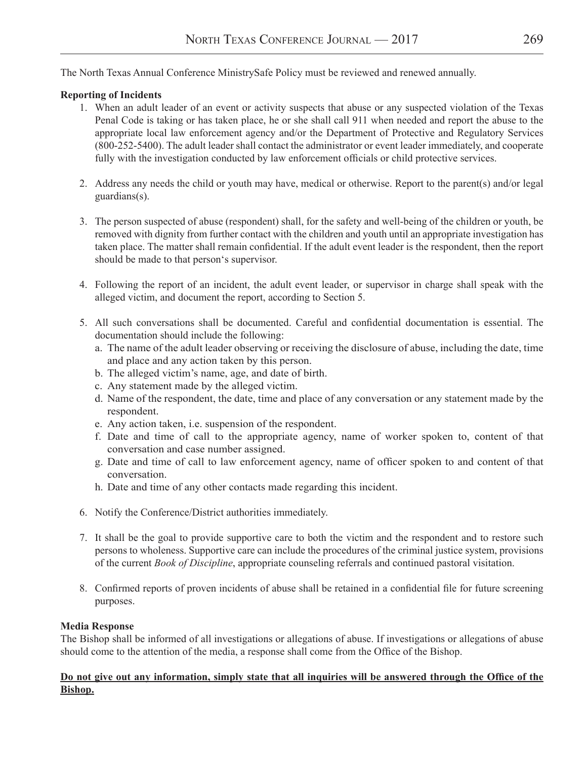The North Texas Annual Conference MinistrySafe Policy must be reviewed and renewed annually.

#### **Reporting of Incidents**

- 1. When an adult leader of an event or activity suspects that abuse or any suspected violation of the Texas Penal Code is taking or has taken place, he or she shall call 911 when needed and report the abuse to the appropriate local law enforcement agency and/or the Department of Protective and Regulatory Services (800-252-5400). The adult leader shall contact the administrator or event leader immediately, and cooperate fully with the investigation conducted by law enforcement officials or child protective services.
- 2. Address any needs the child or youth may have, medical or otherwise. Report to the parent(s) and/or legal guardians(s).
- 3. The person suspected of abuse (respondent) shall, for the safety and well-being of the children or youth, be removed with dignity from further contact with the children and youth until an appropriate investigation has taken place. The matter shall remain confidential. If the adult event leader is the respondent, then the report should be made to that person's supervisor.
- 4. Following the report of an incident, the adult event leader, or supervisor in charge shall speak with the alleged victim, and document the report, according to Section 5.
- 5. All such conversations shall be documented. Careful and confidential documentation is essential. The documentation should include the following:
	- a. The name of the adult leader observing or receiving the disclosure of abuse, including the date, time and place and any action taken by this person.
	- b. The alleged victim's name, age, and date of birth.
	- c. Any statement made by the alleged victim.
	- d. Name of the respondent, the date, time and place of any conversation or any statement made by the respondent.
	- e. Any action taken, i.e. suspension of the respondent.
	- f. Date and time of call to the appropriate agency, name of worker spoken to, content of that conversation and case number assigned.
	- g. Date and time of call to law enforcement agency, name of officer spoken to and content of that conversation.
	- h. Date and time of any other contacts made regarding this incident.
- 6. Notify the Conference/District authorities immediately.
- 7. It shall be the goal to provide supportive care to both the victim and the respondent and to restore such persons to wholeness. Supportive care can include the procedures of the criminal justice system, provisions of the current *Book of Discipline*, appropriate counseling referrals and continued pastoral visitation.
- 8. Confirmed reports of proven incidents of abuse shall be retained in a confidential file for future screening purposes.

#### **Media Response**

The Bishop shall be informed of all investigations or allegations of abuse. If investigations or allegations of abuse should come to the attention of the media, a response shall come from the Office of the Bishop.

#### Do not give out any information, simply state that all inquiries will be answered through the Office of the **Bishop.**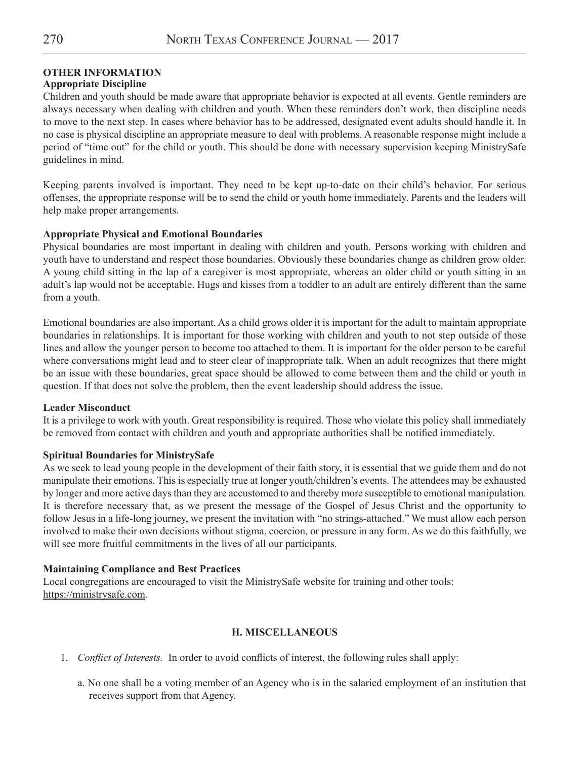## **OTHER INFORMATION**

## **Appropriate Discipline**

Children and youth should be made aware that appropriate behavior is expected at all events. Gentle reminders are always necessary when dealing with children and youth. When these reminders don't work, then discipline needs to move to the next step. In cases where behavior has to be addressed, designated event adults should handle it. In no case is physical discipline an appropriate measure to deal with problems. A reasonable response might include a period of "time out" for the child or youth. This should be done with necessary supervision keeping MinistrySafe guidelines in mind.

Keeping parents involved is important. They need to be kept up-to-date on their child's behavior. For serious offenses, the appropriate response will be to send the child or youth home immediately. Parents and the leaders will help make proper arrangements.

#### **Appropriate Physical and Emotional Boundaries**

Physical boundaries are most important in dealing with children and youth. Persons working with children and youth have to understand and respect those boundaries. Obviously these boundaries change as children grow older. A young child sitting in the lap of a caregiver is most appropriate, whereas an older child or youth sitting in an adult's lap would not be acceptable. Hugs and kisses from a toddler to an adult are entirely different than the same from a youth.

Emotional boundaries are also important. As a child grows older it is important for the adult to maintain appropriate boundaries in relationships. It is important for those working with children and youth to not step outside of those lines and allow the younger person to become too attached to them. It is important for the older person to be careful where conversations might lead and to steer clear of inappropriate talk. When an adult recognizes that there might be an issue with these boundaries, great space should be allowed to come between them and the child or youth in question. If that does not solve the problem, then the event leadership should address the issue.

#### **Leader Misconduct**

It is a privilege to work with youth. Great responsibility is required. Those who violate this policy shall immediately be removed from contact with children and youth and appropriate authorities shall be notified immediately.

#### **Spiritual Boundaries for MinistrySafe**

As we seek to lead young people in the development of their faith story, it is essential that we guide them and do not manipulate their emotions. This is especially true at longer youth/children's events. The attendees may be exhausted by longer and more active days than they are accustomed to and thereby more susceptible to emotional manipulation. It is therefore necessary that, as we present the message of the Gospel of Jesus Christ and the opportunity to follow Jesus in a life-long journey, we present the invitation with "no strings-attached." We must allow each person involved to make their own decisions without stigma, coercion, or pressure in any form. As we do this faithfully, we will see more fruitful commitments in the lives of all our participants.

#### **Maintaining Compliance and Best Practices**

Local congregations are encouraged to visit the MinistrySafe website for training and other tools: https://ministrysafe.com.

#### **H. MISCELLANEOUS**

- 1. *Conflict of Interests.* In order to avoid conflicts of interest, the following rules shall apply:
	- a. No one shall be a voting member of an Agency who is in the salaried employment of an institution that receives support from that Agency.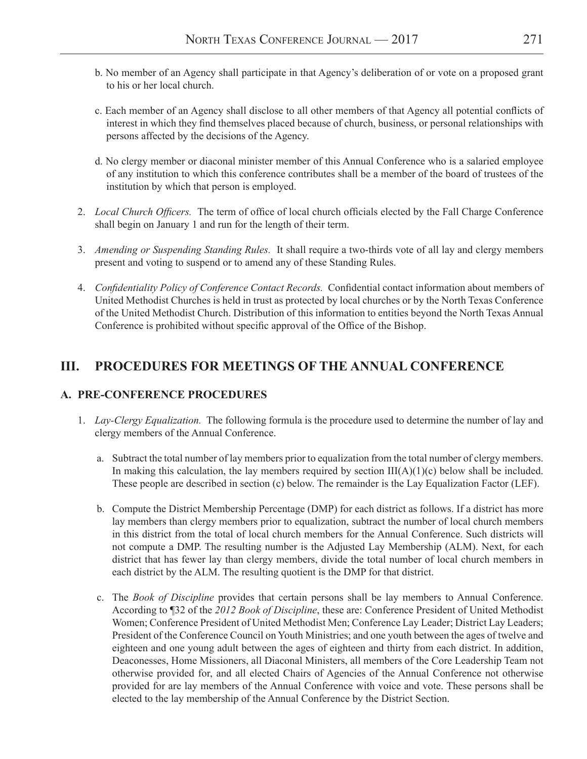- b. No member of an Agency shall participate in that Agency's deliberation of or vote on a proposed grant to his or her local church.
- c. Each member of an Agency shall disclose to all other members of that Agency all potential conflicts of interest in which they find themselves placed because of church, business, or personal relationships with persons affected by the decisions of the Agency.
- d. No clergy member or diaconal minister member of this Annual Conference who is a salaried employee of any institution to which this conference contributes shall be a member of the board of trustees of the institution by which that person is employed.
- 2. *Local Church Officers.* The term of office of local church officials elected by the Fall Charge Conference shall begin on January 1 and run for the length of their term.
- 3. *Amending or Suspending Standing Rules.* It shall require a two-thirds vote of all lay and clergy members present and voting to suspend or to amend any of these Standing Rules.
- 4. *Confidentiality Policy of Conference Contact Records.* Confidential contact information about members of United Methodist Churches is held in trust as protected by local churches or by the North Texas Conference of the United Methodist Church. Distribution of this information to entities beyond the North Texas Annual Conference is prohibited without specific approval of the Office of the Bishop.

## **III. PROCEDURES FOR MEETINGS OF THE ANNUAL CONFERENCE**

## **A. PRE-CONFERENCE PROCEDURES**

- 1. *Lay-Clergy Equalization.* The following formula is the procedure used to determine the number of lay and clergy members of the Annual Conference.
	- a. Subtract the total number of lay members prior to equalization from the total number of clergy members. In making this calculation, the lay members required by section  $III(A)(1)(c)$  below shall be included. These people are described in section (c) below. The remainder is the Lay Equalization Factor (LEF).
	- b. Compute the District Membership Percentage (DMP) for each district as follows. If a district has more lay members than clergy members prior to equalization, subtract the number of local church members in this district from the total of local church members for the Annual Conference. Such districts will not compute a DMP. The resulting number is the Adjusted Lay Membership (ALM). Next, for each district that has fewer lay than clergy members, divide the total number of local church members in each district by the ALM. The resulting quotient is the DMP for that district.
	- c. The *Book of Discipline* provides that certain persons shall be lay members to Annual Conference. According to ¶32 of the *2012 Book of Discipline*, these are: Conference President of United Methodist Women; Conference President of United Methodist Men; Conference Lay Leader; District Lay Leaders; President of the Conference Council on Youth Ministries; and one youth between the ages of twelve and eighteen and one young adult between the ages of eighteen and thirty from each district. In addition, Deaconesses, Home Missioners, all Diaconal Ministers, all members of the Core Leadership Team not otherwise provided for, and all elected Chairs of Agencies of the Annual Conference not otherwise provided for are lay members of the Annual Conference with voice and vote. These persons shall be elected to the lay membership of the Annual Conference by the District Section.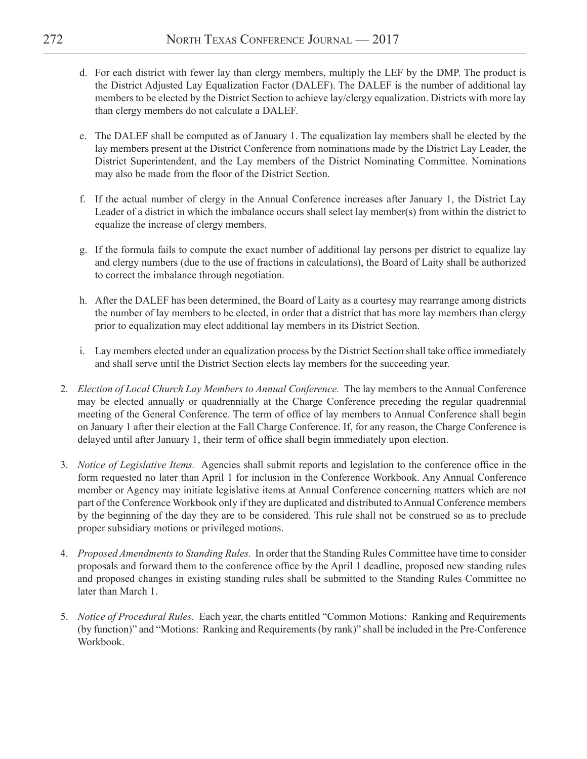- d. For each district with fewer lay than clergy members, multiply the LEF by the DMP. The product is the District Adjusted Lay Equalization Factor (DALEF). The DALEF is the number of additional lay members to be elected by the District Section to achieve lay/clergy equalization. Districts with more lay than clergy members do not calculate a DALEF.
- e. The DALEF shall be computed as of January 1. The equalization lay members shall be elected by the lay members present at the District Conference from nominations made by the District Lay Leader, the District Superintendent, and the Lay members of the District Nominating Committee. Nominations may also be made from the floor of the District Section.
- f. If the actual number of clergy in the Annual Conference increases after January 1, the District Lay Leader of a district in which the imbalance occurs shall select lay member(s) from within the district to equalize the increase of clergy members.
- g. If the formula fails to compute the exact number of additional lay persons per district to equalize lay and clergy numbers (due to the use of fractions in calculations), the Board of Laity shall be authorized to correct the imbalance through negotiation.
- h. After the DALEF has been determined, the Board of Laity as a courtesy may rearrange among districts the number of lay members to be elected, in order that a district that has more lay members than clergy prior to equalization may elect additional lay members in its District Section.
- i. Lay members elected under an equalization process by the District Section shall take office immediately and shall serve until the District Section elects lay members for the succeeding year.
- 2. *Election of Local Church Lay Members to Annual Conference.* The lay members to the Annual Conference may be elected annually or quadrennially at the Charge Conference preceding the regular quadrennial meeting of the General Conference. The term of office of lay members to Annual Conference shall begin on January 1 after their election at the Fall Charge Conference. If, for any reason, the Charge Conference is delayed until after January 1, their term of office shall begin immediately upon election.
- 3. *Notice of Legislative Items.* Agencies shall submit reports and legislation to the conference office in the form requested no later than April 1 for inclusion in the Conference Workbook. Any Annual Conference member or Agency may initiate legislative items at Annual Conference concerning matters which are not part of the Conference Workbook only if they are duplicated and distributed to Annual Conference members by the beginning of the day they are to be considered. This rule shall not be construed so as to preclude proper subsidiary motions or privileged motions.
- 4. *Proposed Amendments to Standing Rules.* In order that the Standing Rules Committee have time to consider proposals and forward them to the conference office by the April 1 deadline, proposed new standing rules and proposed changes in existing standing rules shall be submitted to the Standing Rules Committee no later than March 1.
- 5. *Notice of Procedural Rules.* Each year, the charts entitled "Common Motions: Ranking and Requirements (by function)" and "Motions: Ranking and Requirements (by rank)" shall be included in the Pre-Conference Workbook.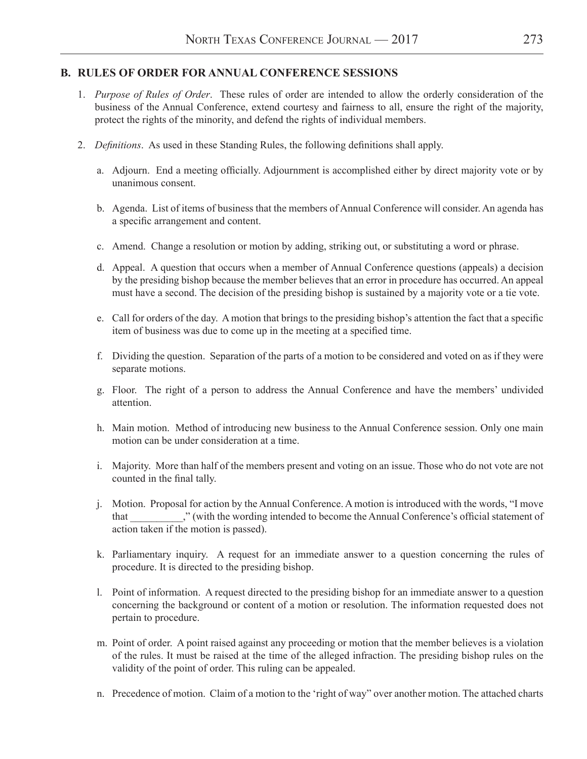### **B. RULES OF ORDER FOR ANNUAL CONFERENCE SESSIONS**

- 1. *Purpose of Rules of Order*. These rules of order are intended to allow the orderly consideration of the business of the Annual Conference, extend courtesy and fairness to all, ensure the right of the majority, protect the rights of the minority, and defend the rights of individual members.
- 2. *Definitions*. As used in these Standing Rules, the following definitions shall apply.
	- a. Adjourn. End a meeting officially. Adjournment is accomplished either by direct majority vote or by unanimous consent.
	- b. Agenda. List of items of business that the members of Annual Conference will consider. An agenda has a specific arrangement and content.
	- c. Amend. Change a resolution or motion by adding, striking out, or substituting a word or phrase.
	- d. Appeal. A question that occurs when a member of Annual Conference questions (appeals) a decision by the presiding bishop because the member believes that an error in procedure has occurred. An appeal must have a second. The decision of the presiding bishop is sustained by a majority vote or a tie vote.
	- e. Call for orders of the day. A motion that brings to the presiding bishop's attention the fact that a specific item of business was due to come up in the meeting at a specified time.
	- f. Dividing the question. Separation of the parts of a motion to be considered and voted on as if they were separate motions.
	- g. Floor. The right of a person to address the Annual Conference and have the members' undivided attention.
	- h. Main motion. Method of introducing new business to the Annual Conference session. Only one main motion can be under consideration at a time.
	- i. Majority. More than half of the members present and voting on an issue. Those who do not vote are not counted in the final tally.
	- j. Motion. Proposal for action by the Annual Conference. A motion is introduced with the words, "I move that \_\_\_\_\_\_\_\_\_\_," (with the wording intended to become the Annual Conference's official statement of action taken if the motion is passed).
	- k. Parliamentary inquiry. A request for an immediate answer to a question concerning the rules of procedure. It is directed to the presiding bishop.
	- l. Point of information. A request directed to the presiding bishop for an immediate answer to a question concerning the background or content of a motion or resolution. The information requested does not pertain to procedure.
	- m. Point of order. A point raised against any proceeding or motion that the member believes is a violation of the rules. It must be raised at the time of the alleged infraction. The presiding bishop rules on the validity of the point of order. This ruling can be appealed.
	- n. Precedence of motion. Claim of a motion to the 'right of way" over another motion. The attached charts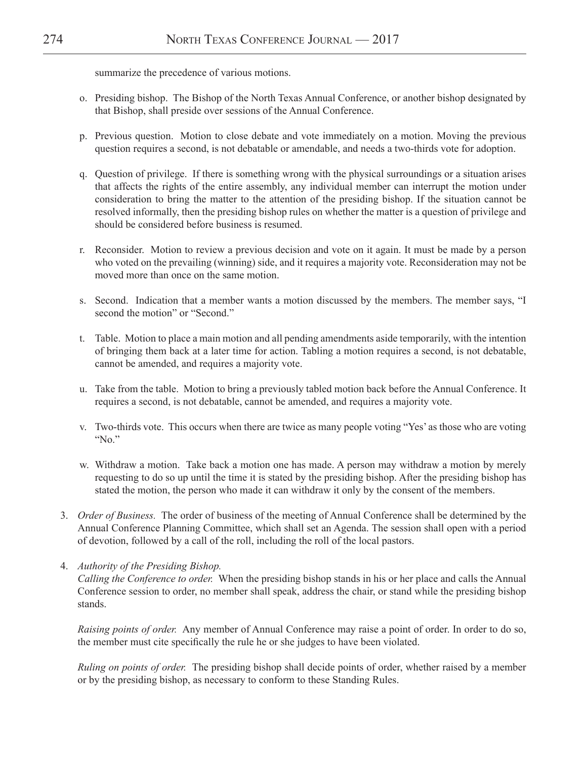summarize the precedence of various motions.

- o. Presiding bishop. The Bishop of the North Texas Annual Conference, or another bishop designated by that Bishop, shall preside over sessions of the Annual Conference.
- p. Previous question. Motion to close debate and vote immediately on a motion. Moving the previous question requires a second, is not debatable or amendable, and needs a two-thirds vote for adoption.
- q. Question of privilege. If there is something wrong with the physical surroundings or a situation arises that affects the rights of the entire assembly, any individual member can interrupt the motion under consideration to bring the matter to the attention of the presiding bishop. If the situation cannot be resolved informally, then the presiding bishop rules on whether the matter is a question of privilege and should be considered before business is resumed.
- r. Reconsider. Motion to review a previous decision and vote on it again. It must be made by a person who voted on the prevailing (winning) side, and it requires a majority vote. Reconsideration may not be moved more than once on the same motion.
- s. Second. Indication that a member wants a motion discussed by the members. The member says, "I second the motion" or "Second."
- t. Table. Motion to place a main motion and all pending amendments aside temporarily, with the intention of bringing them back at a later time for action. Tabling a motion requires a second, is not debatable, cannot be amended, and requires a majority vote.
- u. Take from the table. Motion to bring a previously tabled motion back before the Annual Conference. It requires a second, is not debatable, cannot be amended, and requires a majority vote.
- v. Two-thirds vote. This occurs when there are twice as many people voting "Yes' as those who are voting "No."
- w. Withdraw a motion. Take back a motion one has made. A person may withdraw a motion by merely requesting to do so up until the time it is stated by the presiding bishop. After the presiding bishop has stated the motion, the person who made it can withdraw it only by the consent of the members.
- 3. *Order of Business.* The order of business of the meeting of Annual Conference shall be determined by the Annual Conference Planning Committee, which shall set an Agenda. The session shall open with a period of devotion, followed by a call of the roll, including the roll of the local pastors.
- 4. *Authority of the Presiding Bishop.*

*Calling the Conference to order.* When the presiding bishop stands in his or her place and calls the Annual Conference session to order, no member shall speak, address the chair, or stand while the presiding bishop stands.

*Raising points of order.* Any member of Annual Conference may raise a point of order. In order to do so, the member must cite specifically the rule he or she judges to have been violated.

*Ruling on points of order.* The presiding bishop shall decide points of order, whether raised by a member or by the presiding bishop, as necessary to conform to these Standing Rules.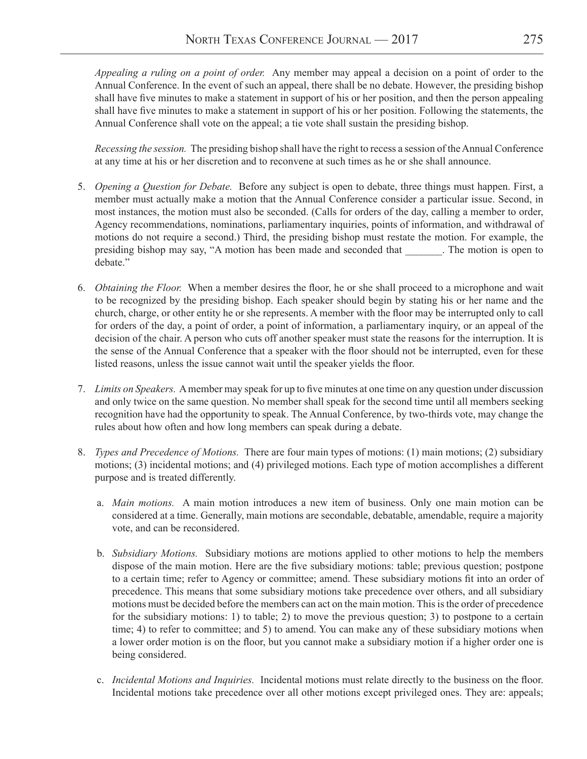*Appealing a ruling on a point of order.* Any member may appeal a decision on a point of order to the Annual Conference. In the event of such an appeal, there shall be no debate. However, the presiding bishop shall have five minutes to make a statement in support of his or her position, and then the person appealing shall have five minutes to make a statement in support of his or her position. Following the statements, the Annual Conference shall vote on the appeal; a tie vote shall sustain the presiding bishop.

*Recessing the session.* The presiding bishop shall have the right to recess a session of the Annual Conference at any time at his or her discretion and to reconvene at such times as he or she shall announce.

- 5. *Opening a Question for Debate.* Before any subject is open to debate, three things must happen. First, a member must actually make a motion that the Annual Conference consider a particular issue. Second, in most instances, the motion must also be seconded. (Calls for orders of the day, calling a member to order, Agency recommendations, nominations, parliamentary inquiries, points of information, and withdrawal of motions do not require a second.) Third, the presiding bishop must restate the motion. For example, the presiding bishop may say, "A motion has been made and seconded that \_\_\_\_\_\_\_. The motion is open to debate."
- 6. *Obtaining the Floor.* When a member desires the floor, he or she shall proceed to a microphone and wait to be recognized by the presiding bishop. Each speaker should begin by stating his or her name and the church, charge, or other entity he or she represents. A member with the floor may be interrupted only to call for orders of the day, a point of order, a point of information, a parliamentary inquiry, or an appeal of the decision of the chair. A person who cuts off another speaker must state the reasons for the interruption. It is the sense of the Annual Conference that a speaker with the floor should not be interrupted, even for these listed reasons, unless the issue cannot wait until the speaker yields the floor.
- 7. *Limits on Speakers.* A member may speak for up to five minutes at one time on any question under discussion and only twice on the same question. No member shall speak for the second time until all members seeking recognition have had the opportunity to speak. The Annual Conference, by two-thirds vote, may change the rules about how often and how long members can speak during a debate.
- 8. *Types and Precedence of Motions.* There are four main types of motions: (1) main motions; (2) subsidiary motions; (3) incidental motions; and (4) privileged motions. Each type of motion accomplishes a different purpose and is treated differently.
	- a. *Main motions.* A main motion introduces a new item of business. Only one main motion can be considered at a time. Generally, main motions are secondable, debatable, amendable, require a majority vote, and can be reconsidered.
	- b. *Subsidiary Motions.* Subsidiary motions are motions applied to other motions to help the members dispose of the main motion. Here are the five subsidiary motions: table; previous question; postpone to a certain time; refer to Agency or committee; amend. These subsidiary motions fit into an order of precedence. This means that some subsidiary motions take precedence over others, and all subsidiary motions must be decided before the members can act on the main motion. This is the order of precedence for the subsidiary motions: 1) to table; 2) to move the previous question; 3) to postpone to a certain time; 4) to refer to committee; and 5) to amend. You can make any of these subsidiary motions when a lower order motion is on the floor, but you cannot make a subsidiary motion if a higher order one is being considered.
	- c. *Incidental Motions and Inquiries.* Incidental motions must relate directly to the business on the floor. Incidental motions take precedence over all other motions except privileged ones. They are: appeals;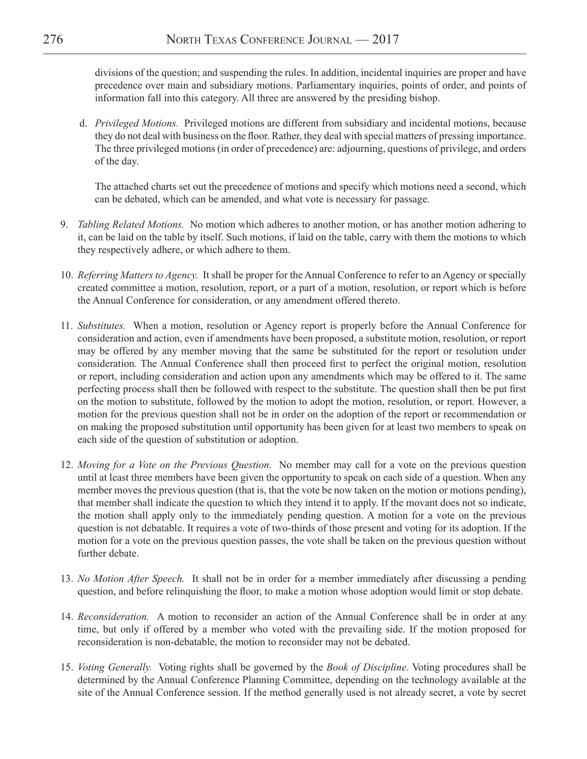divisions of the question; and suspending the rules. In addition, incidental inquiries are proper and have precedence over main and subsidiary motions. Parliamentary inquiries, points of order, and points of information fall into this category. All three are answered by the presiding bishop.

d. *Privileged Motions.* Privileged motions are different from subsidiary and incidental motions, because they do not deal with business on the floor. Rather, they deal with special matters of pressing importance. The three privileged motions (in order of precedence) are: adjourning, questions of privilege, and orders of the day.

The attached charts set out the precedence of motions and specify which motions need a second, which can be debated, which can be amended, and what vote is necessary for passage.

- 9. *Tabling Related Motions.* No motion which adheres to another motion, or has another motion adhering to it, can be laid on the table by itself. Such motions, if laid on the table, carry with them the motions to which they respectively adhere, or which adhere to them.
- 10. *Referring Matters to Agency.* It shall be proper for the Annual Conference to refer to an Agency or specially created committee a motion, resolution, report, or a part of a motion, resolution, or report which is before the Annual Conference for consideration, or any amendment offered thereto.
- 11. *Substitutes.* When a motion, resolution or Agency report is properly before the Annual Conference for consideration and action, even if amendments have been proposed, a substitute motion, resolution, or report may be offered by any member moving that the same be substituted for the report or resolution under consideration. The Annual Conference shall then proceed first to perfect the original motion, resolution or report, including consideration and action upon any amendments which may be offered to it. The same perfecting process shall then be followed with respect to the substitute. The question shall then be put first on the motion to substitute, followed by the motion to adopt the motion, resolution, or report. However, a motion for the previous question shall not be in order on the adoption of the report or recommendation or on making the proposed substitution until opportunity has been given for at least two members to speak on each side of the question of substitution or adoption.
- 12. *Moving for a Vote on the Previous Question.* No member may call for a vote on the previous question until at least three members have been given the opportunity to speak on each side of a question. When any member moves the previous question (that is, that the vote be now taken on the motion or motions pending), that member shall indicate the question to which they intend it to apply. If the movant does not so indicate, the motion shall apply only to the immediately pending question. A motion for a vote on the previous question is not debatable. It requires a vote of two-thirds of those present and voting for its adoption. If the motion for a vote on the previous question passes, the vote shall be taken on the previous question without further debate.
- 13. *No Motion After Speech.* It shall not be in order for a member immediately after discussing a pending question, and before relinquishing the floor, to make a motion whose adoption would limit or stop debate.
- 14. *Reconsideration.* A motion to reconsider an action of the Annual Conference shall be in order at any time, but only if offered by a member who voted with the prevailing side. If the motion proposed for reconsideration is non-debatable, the motion to reconsider may not be debated.
- 15. *Voting Generally.* Voting rights shall be governed by the *Book of Discipline*. Voting procedures shall be determined by the Annual Conference Planning Committee, depending on the technology available at the site of the Annual Conference session. If the method generally used is not already secret, a vote by secret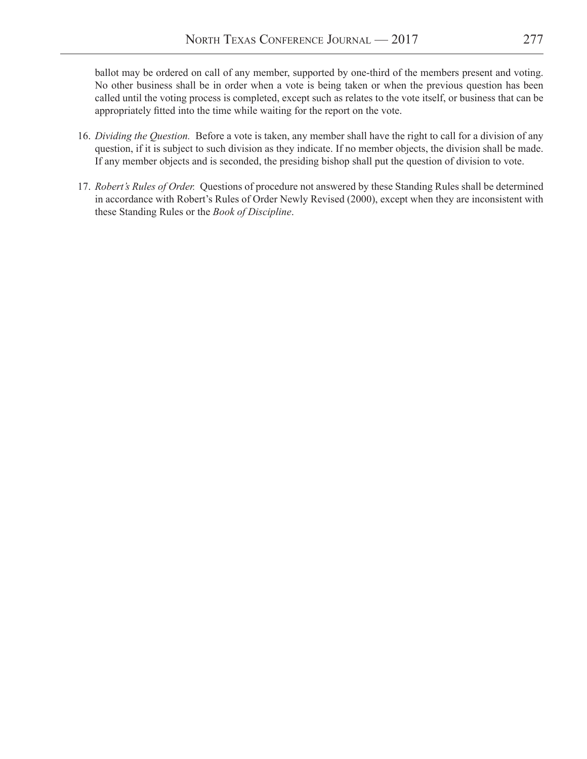ballot may be ordered on call of any member, supported by one-third of the members present and voting. No other business shall be in order when a vote is being taken or when the previous question has been called until the voting process is completed, except such as relates to the vote itself, or business that can be appropriately fitted into the time while waiting for the report on the vote.

- 16. *Dividing the Question.* Before a vote is taken, any member shall have the right to call for a division of any question, if it is subject to such division as they indicate. If no member objects, the division shall be made. If any member objects and is seconded, the presiding bishop shall put the question of division to vote.
- 17. *Robert's Rules of Order.* Questions of procedure not answered by these Standing Rules shall be determined in accordance with Robert's Rules of Order Newly Revised (2000), except when they are inconsistent with these Standing Rules or the *Book of Discipline*.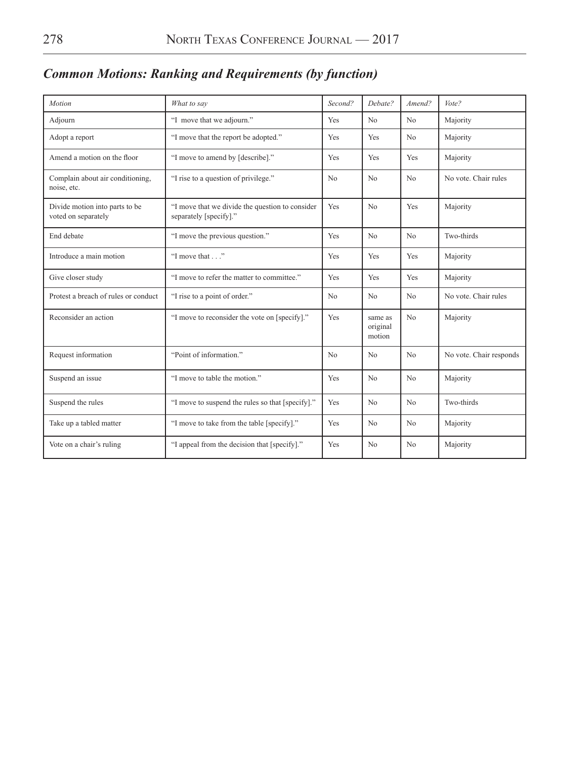| Motion                                                                | What to say                                                               | Second? | Debate?                       | Amend?         | Vote?                   |
|-----------------------------------------------------------------------|---------------------------------------------------------------------------|---------|-------------------------------|----------------|-------------------------|
| Adjourn                                                               | "I move that we adjourn."                                                 | Yes     | No                            | No             | Majority                |
| Adopt a report                                                        | "I move that the report be adopted."                                      | Yes     | Yes                           | N <sub>0</sub> | Majority                |
| Amend a motion on the floor                                           | "I move to amend by [describe]."                                          | Yes     | Yes                           | Yes            | Majority                |
| Complain about air conditioning,<br>noise, etc.                       | "I rise to a question of privilege."                                      | No      | No                            | No             | No vote. Chair rules    |
| Divide motion into parts to be<br>voted on separately                 | "I move that we divide the question to consider<br>separately [specify]." | Yes     | No                            | Yes            | Majority                |
| End debate                                                            | "I move the previous question."                                           | Yes     | No                            | No             | Two-thirds              |
| Introduce a main motion                                               | "I move that"                                                             | Yes     | Yes                           | Yes            | Majority                |
| Give closer study                                                     | "I move to refer the matter to committee."                                | Yes     | Yes                           | Yes            | Majority                |
| Protest a breach of rules or conduct                                  | "I rise to a point of order."                                             | No      | N <sub>o</sub>                | No             | No vote. Chair rules    |
| Reconsider an action                                                  | "I move to reconsider the vote on [specify]."                             | Yes     | same as<br>original<br>motion | No             | Majority                |
| Request information                                                   | "Point of information."                                                   | No      | N <sub>o</sub>                | No             | No vote. Chair responds |
| Suspend an issue                                                      | "I move to table the motion."                                             | Yes     | N <sub>o</sub>                | No             | Majority                |
| Suspend the rules<br>"I move to suspend the rules so that [specify]." |                                                                           | Yes     | No                            | No             | Two-thirds              |
| Take up a tabled matter                                               | "I move to take from the table [specify]."                                | Yes     | N <sub>o</sub>                | No             | Majority                |
| Vote on a chair's ruling                                              | "I appeal from the decision that [specify]."                              | Yes     | N <sub>0</sub>                | N <sub>0</sub> | Majority                |

# *Common Motions: Ranking and Requirements (by function)*